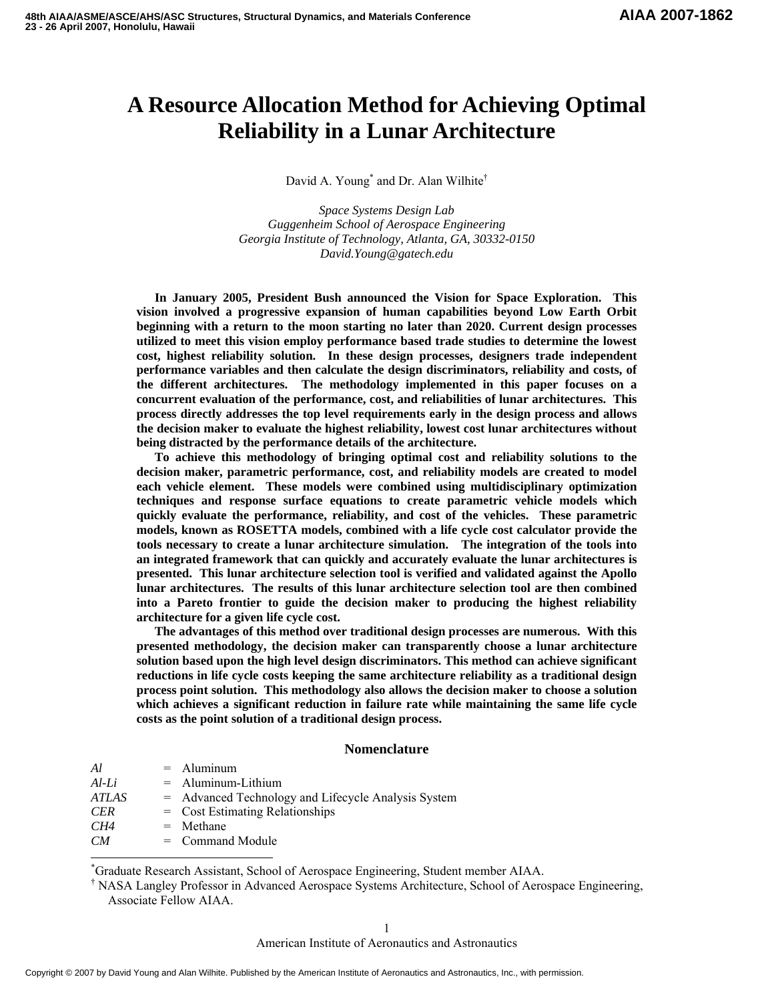# **A Resource Allocation Method for Achieving Optimal Reliability in a Lunar Architecture**

David A. Young<sup>\*</sup> and Dr. Alan Wilhite<sup>†</sup>

*Space Systems Design Lab Guggenheim School of Aerospace Engineering Georgia Institute of Technology, Atlanta, GA, 30332-0150 David.Young@gatech.edu* 

**In January 2005, President Bush announced the Vision for Space Exploration. This vision involved a progressive expansion of human capabilities beyond Low Earth Orbit beginning with a return to the moon starting no later than 2020. Current design processes utilized to meet this vision employ performance based trade studies to determine the lowest cost, highest reliability solution. In these design processes, designers trade independent performance variables and then calculate the design discriminators, reliability and costs, of the different architectures. The methodology implemented in this paper focuses on a concurrent evaluation of the performance, cost, and reliabilities of lunar architectures. This process directly addresses the top level requirements early in the design process and allows the decision maker to evaluate the highest reliability, lowest cost lunar architectures without being distracted by the performance details of the architecture.** 

**To achieve this methodology of bringing optimal cost and reliability solutions to the decision maker, parametric performance, cost, and reliability models are created to model each vehicle element. These models were combined using multidisciplinary optimization techniques and response surface equations to create parametric vehicle models which quickly evaluate the performance, reliability, and cost of the vehicles. These parametric models, known as ROSETTA models, combined with a life cycle cost calculator provide the tools necessary to create a lunar architecture simulation. The integration of the tools into an integrated framework that can quickly and accurately evaluate the lunar architectures is presented. This lunar architecture selection tool is verified and validated against the Apollo lunar architectures. The results of this lunar architecture selection tool are then combined into a Pareto frontier to guide the decision maker to producing the highest reliability architecture for a given life cycle cost.** 

**The advantages of this method over traditional design processes are numerous. With this presented methodology, the decision maker can transparently choose a lunar architecture solution based upon the high level design discriminators. This method can achieve significant reductions in life cycle costs keeping the same architecture reliability as a traditional design process point solution. This methodology also allows the decision maker to choose a solution which achieves a significant reduction in failure rate while maintaining the same life cycle costs as the point solution of a traditional design process.** 

#### **Nomenclature**

| Al           | $=$ Aluminum                                        |
|--------------|-----------------------------------------------------|
| Al-Li        | $=$ Aluminum-Lithium                                |
| <b>ATLAS</b> | = Advanced Technology and Lifecycle Analysis System |
| <b>CER</b>   | $=$ Cost Estimating Relationships                   |
| CH4          | $=$ Methane                                         |
| CM           | $=$ Command Module                                  |

 $\overline{\phantom{a}}$ 

\* Graduate Research Assistant, School of Aerospace Engineering, Student member AIAA.

† NASA Langley Professor in Advanced Aerospace Systems Architecture, School of Aerospace Engineering, Associate Fellow AIAA.

American Institute of Aeronautics and Astronautics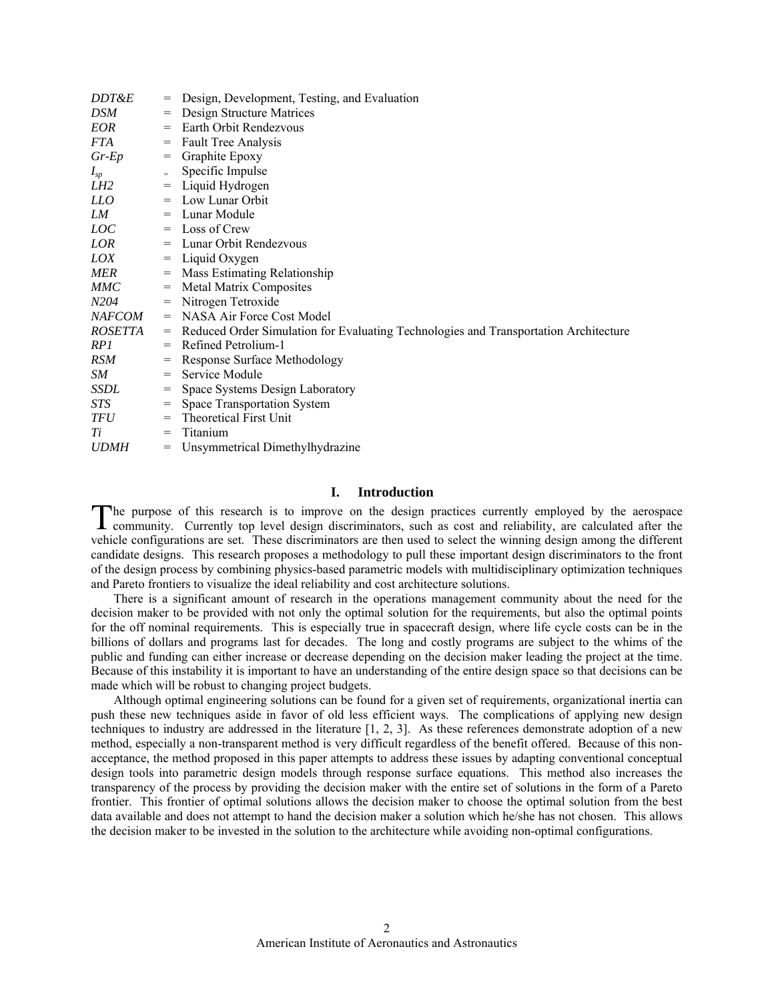| <i>DDT&amp;E</i> | $=$ | Design, Development, Testing, and Evaluation                                         |
|------------------|-----|--------------------------------------------------------------------------------------|
| <b>DSM</b>       | $=$ | Design Structure Matrices                                                            |
| EOR              | $=$ | Earth Orbit Rendezvous                                                               |
| <i>FTA</i>       | $=$ | <b>Fault Tree Analysis</b>                                                           |
| $Gr-Ep$          | $=$ | Graphite Epoxy                                                                       |
| $I_{sp}$         | $=$ | Specific Impulse                                                                     |
| LH2              | $=$ | Liquid Hydrogen                                                                      |
| LLO              | $=$ | Low Lunar Orbit                                                                      |
| LM               | $=$ | Lunar Module                                                                         |
| LOC              | $=$ | Loss of Crew                                                                         |
| <i>LOR</i>       | $=$ | Lunar Orbit Rendezvous                                                               |
| LOX              | $=$ | Liquid Oxygen                                                                        |
| <i>MER</i>       | $=$ | Mass Estimating Relationship                                                         |
| MMC              | $=$ | <b>Metal Matrix Composites</b>                                                       |
| N204             | $=$ | Nitrogen Tetroxide                                                                   |
| <b>NAFCOM</b>    |     | $=$ NASA Air Force Cost Model                                                        |
| <i>ROSETTA</i>   | $=$ | Reduced Order Simulation for Evaluating Technologies and Transportation Architecture |
| RP1              | $=$ | Refined Petrolium-1                                                                  |
| <i>RSM</i>       | $=$ | Response Surface Methodology                                                         |
| SM               | $=$ | Service Module                                                                       |
| SSDL             | $=$ | Space Systems Design Laboratory                                                      |
| STS              | $=$ | Space Transportation System                                                          |
| TFU              |     | $=$ Theoretical First Unit                                                           |
| Ti               | $=$ | Titanium                                                                             |
| <b>UDMH</b>      | $=$ | Unsymmetrical Dimethylhydrazine                                                      |
|                  |     |                                                                                      |

## **I. Introduction**

he purpose of this research is to improve on the design practices currently employed by the aerospace The purpose of this research is to improve on the design practices currently employed by the aerospace community. Currently top level design discriminators, such as cost and reliability, are calculated after the vehicle configurations are set. These discriminators are then used to select the winning design among the different candidate designs. This research proposes a methodology to pull these important design discriminators to the front of the design process by combining physics-based parametric models with multidisciplinary optimization techniques and Pareto frontiers to visualize the ideal reliability and cost architecture solutions.

There is a significant amount of research in the operations management community about the need for the decision maker to be provided with not only the optimal solution for the requirements, but also the optimal points for the off nominal requirements. This is especially true in spacecraft design, where life cycle costs can be in the billions of dollars and programs last for decades. The long and costly programs are subject to the whims of the public and funding can either increase or decrease depending on the decision maker leading the project at the time. Because of this instability it is important to have an understanding of the entire design space so that decisions can be made which will be robust to changing project budgets.

Although optimal engineering solutions can be found for a given set of requirements, organizational inertia can push these new techniques aside in favor of old less efficient ways. The complications of applying new design techniques to industry are addressed in the literature [1, 2, 3]. As these references demonstrate adoption of a new method, especially a non-transparent method is very difficult regardless of the benefit offered. Because of this nonacceptance, the method proposed in this paper attempts to address these issues by adapting conventional conceptual design tools into parametric design models through response surface equations. This method also increases the transparency of the process by providing the decision maker with the entire set of solutions in the form of a Pareto frontier. This frontier of optimal solutions allows the decision maker to choose the optimal solution from the best data available and does not attempt to hand the decision maker a solution which he/she has not chosen. This allows the decision maker to be invested in the solution to the architecture while avoiding non-optimal configurations.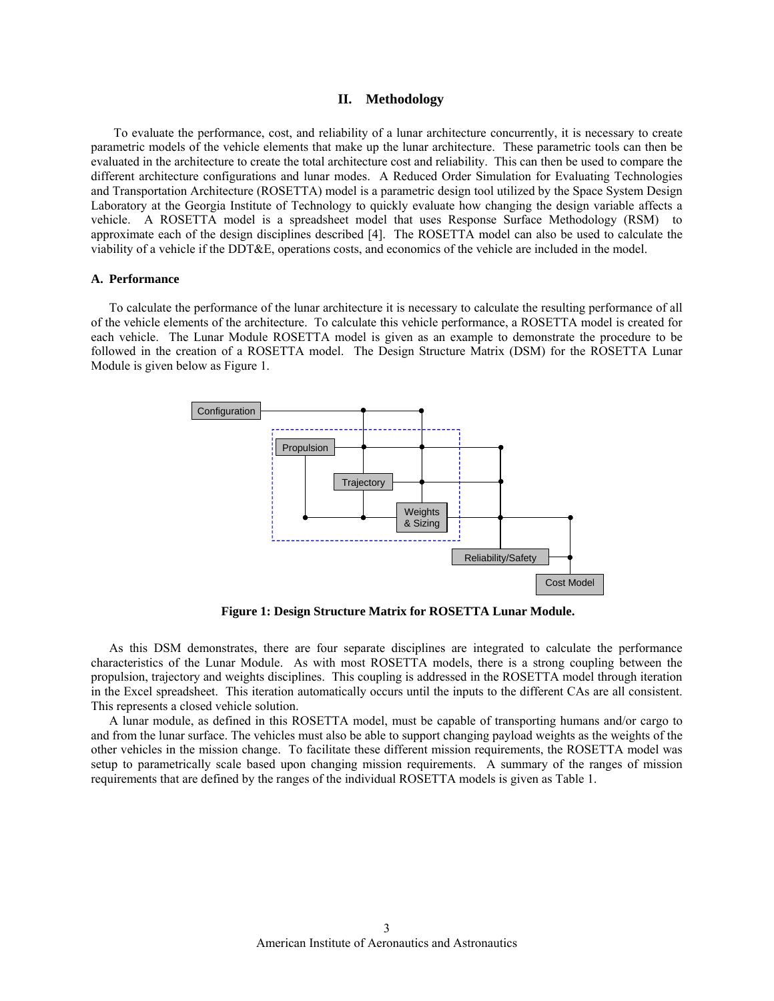#### **II. Methodology**

To evaluate the performance, cost, and reliability of a lunar architecture concurrently, it is necessary to create parametric models of the vehicle elements that make up the lunar architecture. These parametric tools can then be evaluated in the architecture to create the total architecture cost and reliability. This can then be used to compare the different architecture configurations and lunar modes. A Reduced Order Simulation for Evaluating Technologies and Transportation Architecture (ROSETTA) model is a parametric design tool utilized by the Space System Design Laboratory at the Georgia Institute of Technology to quickly evaluate how changing the design variable affects a vehicle. A ROSETTA model is a spreadsheet model that uses Response Surface Methodology (RSM) to approximate each of the design disciplines described [4]. The ROSETTA model can also be used to calculate the viability of a vehicle if the DDT&E, operations costs, and economics of the vehicle are included in the model.

#### **A. Performance**

To calculate the performance of the lunar architecture it is necessary to calculate the resulting performance of all of the vehicle elements of the architecture. To calculate this vehicle performance, a ROSETTA model is created for each vehicle. The Lunar Module ROSETTA model is given as an example to demonstrate the procedure to be followed in the creation of a ROSETTA model. The Design Structure Matrix (DSM) for the ROSETTA Lunar Module is given below as Figure 1.



**Figure 1: Design Structure Matrix for ROSETTA Lunar Module.** 

As this DSM demonstrates, there are four separate disciplines are integrated to calculate the performance characteristics of the Lunar Module. As with most ROSETTA models, there is a strong coupling between the propulsion, trajectory and weights disciplines. This coupling is addressed in the ROSETTA model through iteration in the Excel spreadsheet. This iteration automatically occurs until the inputs to the different CAs are all consistent. This represents a closed vehicle solution.

A lunar module, as defined in this ROSETTA model, must be capable of transporting humans and/or cargo to and from the lunar surface. The vehicles must also be able to support changing payload weights as the weights of the other vehicles in the mission change. To facilitate these different mission requirements, the ROSETTA model was setup to parametrically scale based upon changing mission requirements. A summary of the ranges of mission requirements that are defined by the ranges of the individual ROSETTA models is given as Table 1.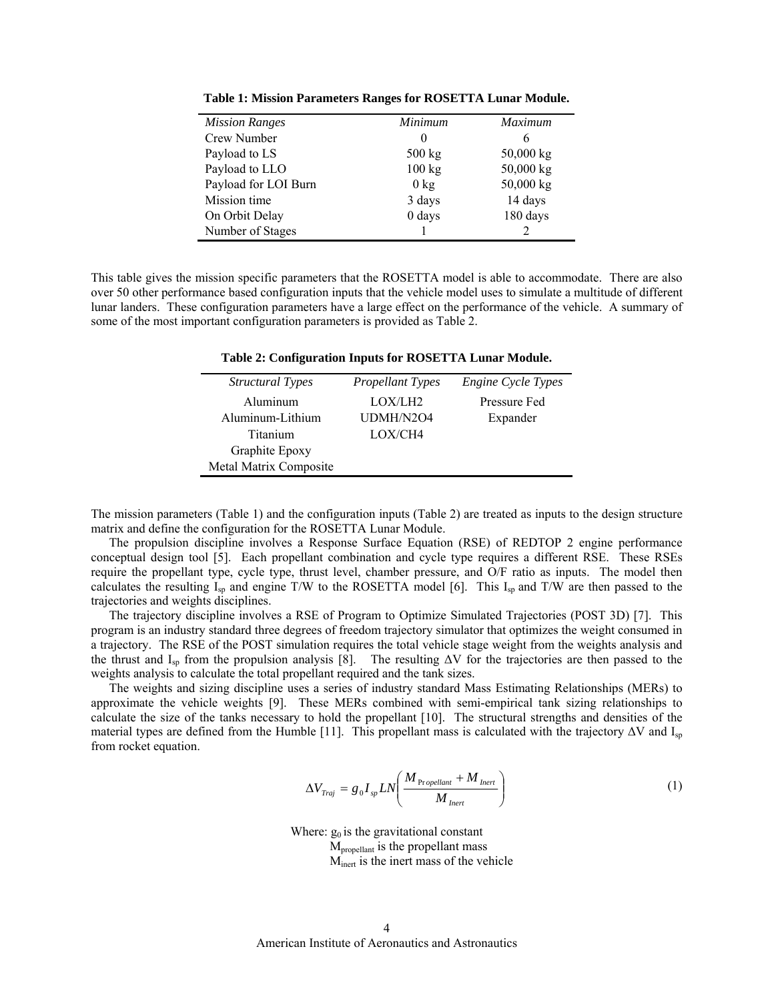| <b>Mission Ranges</b> | Minimum          | <i>Maximum</i> |
|-----------------------|------------------|----------------|
| Crew Number           | $\theta$         | 6              |
| Payload to LS         | $500 \text{ kg}$ | 50,000 kg      |
| Payload to LLO        | 100 kg           | 50,000 kg      |
| Payload for LOI Burn  | $0 \text{ kg}$   | 50,000 kg      |
| Mission time          | 3 days           | 14 days        |
| On Orbit Delay        | $0$ days         | 180 days       |
| Number of Stages      |                  |                |

**Table 1: Mission Parameters Ranges for ROSETTA Lunar Module.** 

This table gives the mission specific parameters that the ROSETTA model is able to accommodate. There are also over 50 other performance based configuration inputs that the vehicle model uses to simulate a multitude of different lunar landers. These configuration parameters have a large effect on the performance of the vehicle. A summary of some of the most important configuration parameters is provided as Table 2.

|  |  | Table 2: Configuration Inputs for ROSETTA Lunar Module. |
|--|--|---------------------------------------------------------|
|  |  |                                                         |

| <b>Structural Types</b> | Propellant Types    | <b>Engine Cycle Types</b> |
|-------------------------|---------------------|---------------------------|
| Aluminum                | LOX/LH <sub>2</sub> | Pressure Fed              |
| Aluminum-Lithium        | UDMH/N2O4           | Expander                  |
| Titanium                | LOX/CH4             |                           |
| Graphite Epoxy          |                     |                           |
| Metal Matrix Composite  |                     |                           |
|                         |                     |                           |

The mission parameters (Table 1) and the configuration inputs (Table 2) are treated as inputs to the design structure matrix and define the configuration for the ROSETTA Lunar Module.

The propulsion discipline involves a Response Surface Equation (RSE) of REDTOP 2 engine performance conceptual design tool [5]. Each propellant combination and cycle type requires a different RSE. These RSEs require the propellant type, cycle type, thrust level, chamber pressure, and O/F ratio as inputs. The model then calculates the resulting  $I_{sp}$  and engine T/W to the ROSETTA model [6]. This  $I_{sp}$  and T/W are then passed to the trajectories and weights disciplines.

 The trajectory discipline involves a RSE of Program to Optimize Simulated Trajectories (POST 3D) [7]. This program is an industry standard three degrees of freedom trajectory simulator that optimizes the weight consumed in a trajectory. The RSE of the POST simulation requires the total vehicle stage weight from the weights analysis and the thrust and Isp from the propulsion analysis [8]. The resulting ∆V for the trajectories are then passed to the weights analysis to calculate the total propellant required and the tank sizes.

 The weights and sizing discipline uses a series of industry standard Mass Estimating Relationships (MERs) to approximate the vehicle weights [9]. These MERs combined with semi-empirical tank sizing relationships to calculate the size of the tanks necessary to hold the propellant [10]. The structural strengths and densities of the material types are defined from the Humble [11]. This propellant mass is calculated with the trajectory  $\Delta V$  and I<sub>sp</sub> from rocket equation.

$$
\Delta V_{Traj} = g_0 I_{sp} L N \left( \frac{M_{Propeliant} + M_{Inert}}{M_{Inert}} \right)
$$
 (1)

Where:  $g_0$  is the gravitational constant Mpropellant is the propellant mass Minert is the inert mass of the vehicle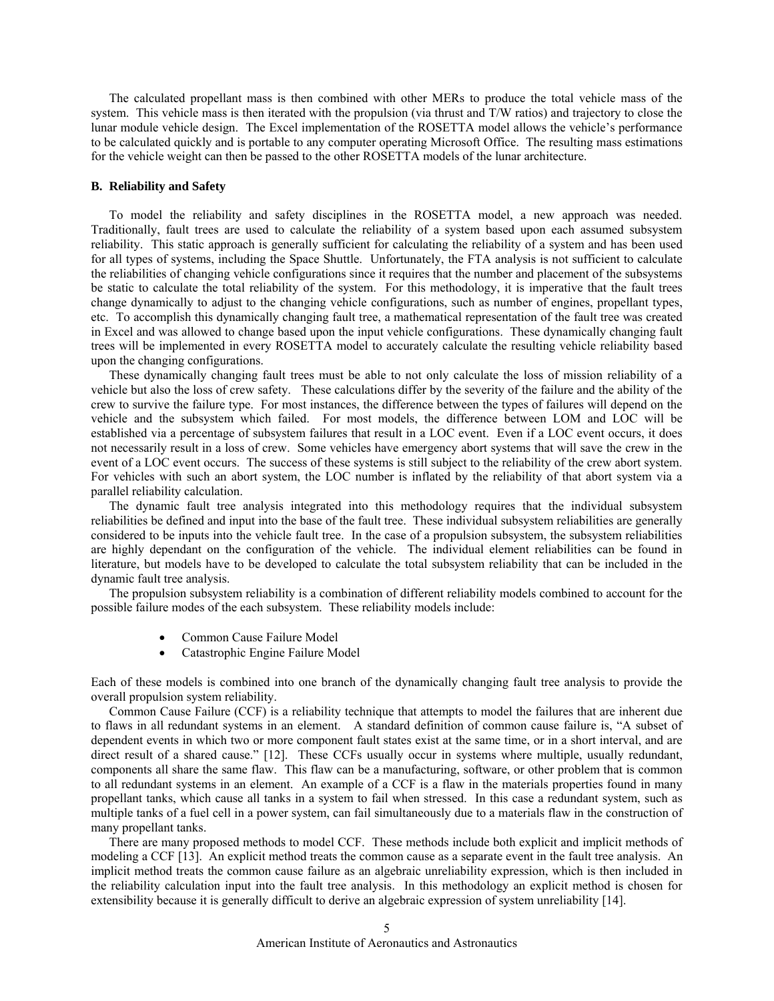The calculated propellant mass is then combined with other MERs to produce the total vehicle mass of the system. This vehicle mass is then iterated with the propulsion (via thrust and T/W ratios) and trajectory to close the lunar module vehicle design. The Excel implementation of the ROSETTA model allows the vehicle's performance to be calculated quickly and is portable to any computer operating Microsoft Office. The resulting mass estimations for the vehicle weight can then be passed to the other ROSETTA models of the lunar architecture.

#### **B. Reliability and Safety**

To model the reliability and safety disciplines in the ROSETTA model, a new approach was needed. Traditionally, fault trees are used to calculate the reliability of a system based upon each assumed subsystem reliability. This static approach is generally sufficient for calculating the reliability of a system and has been used for all types of systems, including the Space Shuttle. Unfortunately, the FTA analysis is not sufficient to calculate the reliabilities of changing vehicle configurations since it requires that the number and placement of the subsystems be static to calculate the total reliability of the system. For this methodology, it is imperative that the fault trees change dynamically to adjust to the changing vehicle configurations, such as number of engines, propellant types, etc. To accomplish this dynamically changing fault tree, a mathematical representation of the fault tree was created in Excel and was allowed to change based upon the input vehicle configurations. These dynamically changing fault trees will be implemented in every ROSETTA model to accurately calculate the resulting vehicle reliability based upon the changing configurations.

These dynamically changing fault trees must be able to not only calculate the loss of mission reliability of a vehicle but also the loss of crew safety. These calculations differ by the severity of the failure and the ability of the crew to survive the failure type. For most instances, the difference between the types of failures will depend on the vehicle and the subsystem which failed. For most models, the difference between LOM and LOC will be established via a percentage of subsystem failures that result in a LOC event. Even if a LOC event occurs, it does not necessarily result in a loss of crew. Some vehicles have emergency abort systems that will save the crew in the event of a LOC event occurs. The success of these systems is still subject to the reliability of the crew abort system. For vehicles with such an abort system, the LOC number is inflated by the reliability of that abort system via a parallel reliability calculation.

The dynamic fault tree analysis integrated into this methodology requires that the individual subsystem reliabilities be defined and input into the base of the fault tree. These individual subsystem reliabilities are generally considered to be inputs into the vehicle fault tree. In the case of a propulsion subsystem, the subsystem reliabilities are highly dependant on the configuration of the vehicle. The individual element reliabilities can be found in literature, but models have to be developed to calculate the total subsystem reliability that can be included in the dynamic fault tree analysis.

The propulsion subsystem reliability is a combination of different reliability models combined to account for the possible failure modes of the each subsystem. These reliability models include:

- Common Cause Failure Model
- Catastrophic Engine Failure Model

Each of these models is combined into one branch of the dynamically changing fault tree analysis to provide the overall propulsion system reliability.

Common Cause Failure (CCF) is a reliability technique that attempts to model the failures that are inherent due to flaws in all redundant systems in an element. A standard definition of common cause failure is, "A subset of dependent events in which two or more component fault states exist at the same time, or in a short interval, and are direct result of a shared cause." [12]. These CCFs usually occur in systems where multiple, usually redundant, components all share the same flaw. This flaw can be a manufacturing, software, or other problem that is common to all redundant systems in an element. An example of a CCF is a flaw in the materials properties found in many propellant tanks, which cause all tanks in a system to fail when stressed. In this case a redundant system, such as multiple tanks of a fuel cell in a power system, can fail simultaneously due to a materials flaw in the construction of many propellant tanks.

There are many proposed methods to model CCF. These methods include both explicit and implicit methods of modeling a CCF [13]. An explicit method treats the common cause as a separate event in the fault tree analysis. An implicit method treats the common cause failure as an algebraic unreliability expression, which is then included in the reliability calculation input into the fault tree analysis. In this methodology an explicit method is chosen for extensibility because it is generally difficult to derive an algebraic expression of system unreliability [14].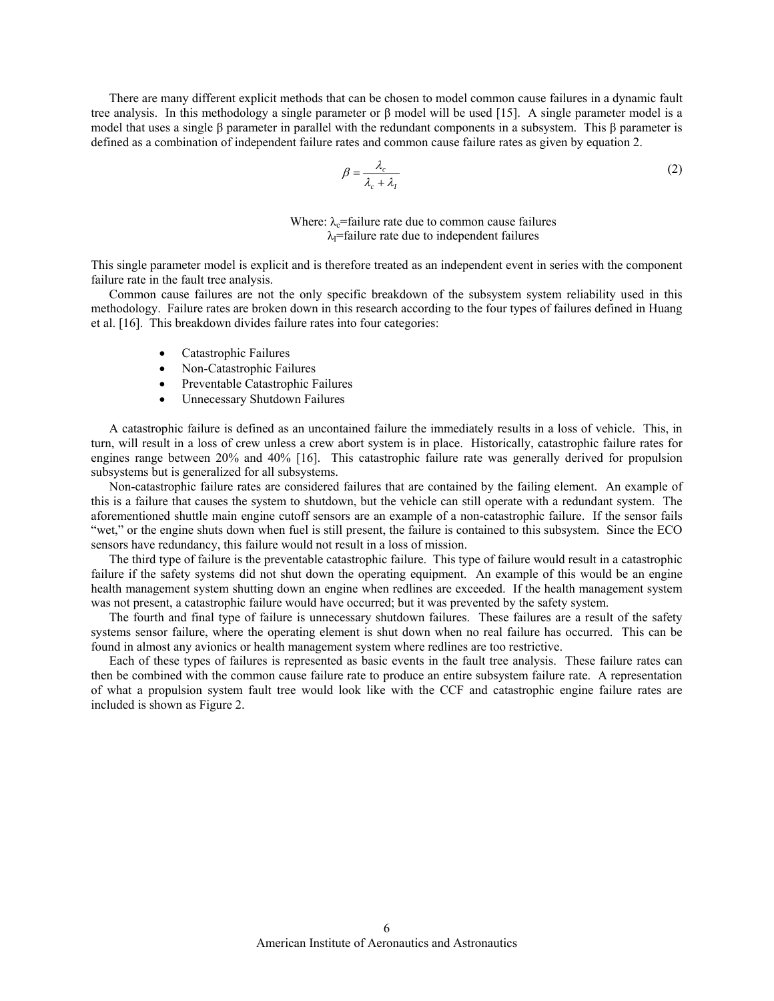There are many different explicit methods that can be chosen to model common cause failures in a dynamic fault tree analysis. In this methodology a single parameter or β model will be used [15]. A single parameter model is a model that uses a single β parameter in parallel with the redundant components in a subsystem. This β parameter is defined as a combination of independent failure rates and common cause failure rates as given by equation 2.

$$
\beta = \frac{\lambda_c}{\lambda_c + \lambda_I} \tag{2}
$$

Where:  $\lambda_c$ =failure rate due to common cause failures  $\lambda_1$ =failure rate due to independent failures

This single parameter model is explicit and is therefore treated as an independent event in series with the component failure rate in the fault tree analysis.

Common cause failures are not the only specific breakdown of the subsystem system reliability used in this methodology. Failure rates are broken down in this research according to the four types of failures defined in Huang et al. [16]. This breakdown divides failure rates into four categories:

- Catastrophic Failures
- Non-Catastrophic Failures
- Preventable Catastrophic Failures
- Unnecessary Shutdown Failures

 A catastrophic failure is defined as an uncontained failure the immediately results in a loss of vehicle. This, in turn, will result in a loss of crew unless a crew abort system is in place. Historically, catastrophic failure rates for engines range between 20% and 40% [16]. This catastrophic failure rate was generally derived for propulsion subsystems but is generalized for all subsystems.

 Non-catastrophic failure rates are considered failures that are contained by the failing element. An example of this is a failure that causes the system to shutdown, but the vehicle can still operate with a redundant system. The aforementioned shuttle main engine cutoff sensors are an example of a non-catastrophic failure. If the sensor fails "wet," or the engine shuts down when fuel is still present, the failure is contained to this subsystem. Since the ECO sensors have redundancy, this failure would not result in a loss of mission.

 The third type of failure is the preventable catastrophic failure. This type of failure would result in a catastrophic failure if the safety systems did not shut down the operating equipment. An example of this would be an engine health management system shutting down an engine when redlines are exceeded. If the health management system was not present, a catastrophic failure would have occurred; but it was prevented by the safety system.

 The fourth and final type of failure is unnecessary shutdown failures. These failures are a result of the safety systems sensor failure, where the operating element is shut down when no real failure has occurred. This can be found in almost any avionics or health management system where redlines are too restrictive.

 Each of these types of failures is represented as basic events in the fault tree analysis. These failure rates can then be combined with the common cause failure rate to produce an entire subsystem failure rate. A representation of what a propulsion system fault tree would look like with the CCF and catastrophic engine failure rates are included is shown as Figure 2.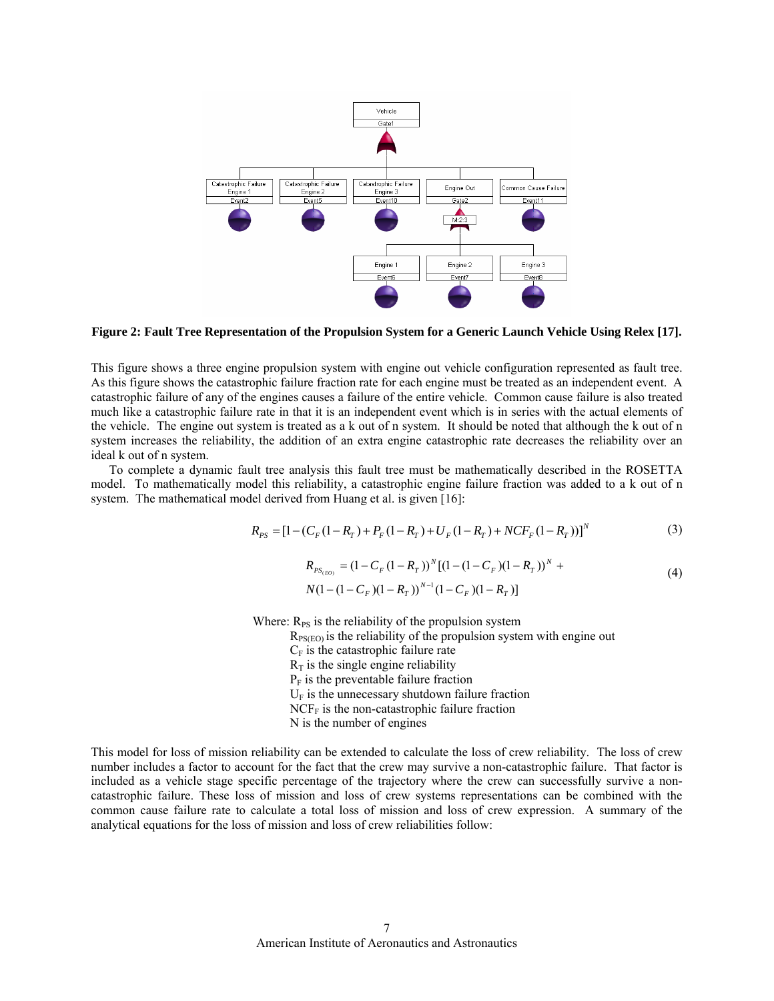

**Figure 2: Fault Tree Representation of the Propulsion System for a Generic Launch Vehicle Using Relex [17].** 

This figure shows a three engine propulsion system with engine out vehicle configuration represented as fault tree. As this figure shows the catastrophic failure fraction rate for each engine must be treated as an independent event. A catastrophic failure of any of the engines causes a failure of the entire vehicle. Common cause failure is also treated much like a catastrophic failure rate in that it is an independent event which is in series with the actual elements of the vehicle. The engine out system is treated as a k out of n system. It should be noted that although the k out of n system increases the reliability, the addition of an extra engine catastrophic rate decreases the reliability over an ideal k out of n system.

 To complete a dynamic fault tree analysis this fault tree must be mathematically described in the ROSETTA model. To mathematically model this reliability, a catastrophic engine failure fraction was added to a k out of n system. The mathematical model derived from Huang et al. is given [16]:

$$
R_{PS} = [1 - (C_F(1 - R_T) + P_F(1 - R_T) + U_F(1 - R_T) + NCF_F(1 - R_T))]^N
$$
\n(3)

$$
R_{PS_{(EO)}} = (1 - C_F (1 - R_T))^N [(1 - (1 - C_F)(1 - R_T))^N + N(1 - (1 - C_F)(1 - R_T))^N]
$$
\n
$$
N(1 - (1 - C_F)(1 - R_T))^N = (1 - C_F)(1 - R_T)
$$
\n(4)

Where:  $R_{PS}$  is the reliability of the propulsion system

 $R_{PSEO}$  is the reliability of the propulsion system with engine out

 $C_F$  is the catastrophic failure rate

 $R<sub>T</sub>$  is the single engine reliability

 $P_F$  is the preventable failure fraction

 $U_F$  is the unnecessary shutdown failure fraction

 $NCF<sub>F</sub>$  is the non-catastrophic failure fraction

N is the number of engines

This model for loss of mission reliability can be extended to calculate the loss of crew reliability. The loss of crew number includes a factor to account for the fact that the crew may survive a non-catastrophic failure. That factor is included as a vehicle stage specific percentage of the trajectory where the crew can successfully survive a noncatastrophic failure. These loss of mission and loss of crew systems representations can be combined with the common cause failure rate to calculate a total loss of mission and loss of crew expression. A summary of the analytical equations for the loss of mission and loss of crew reliabilities follow: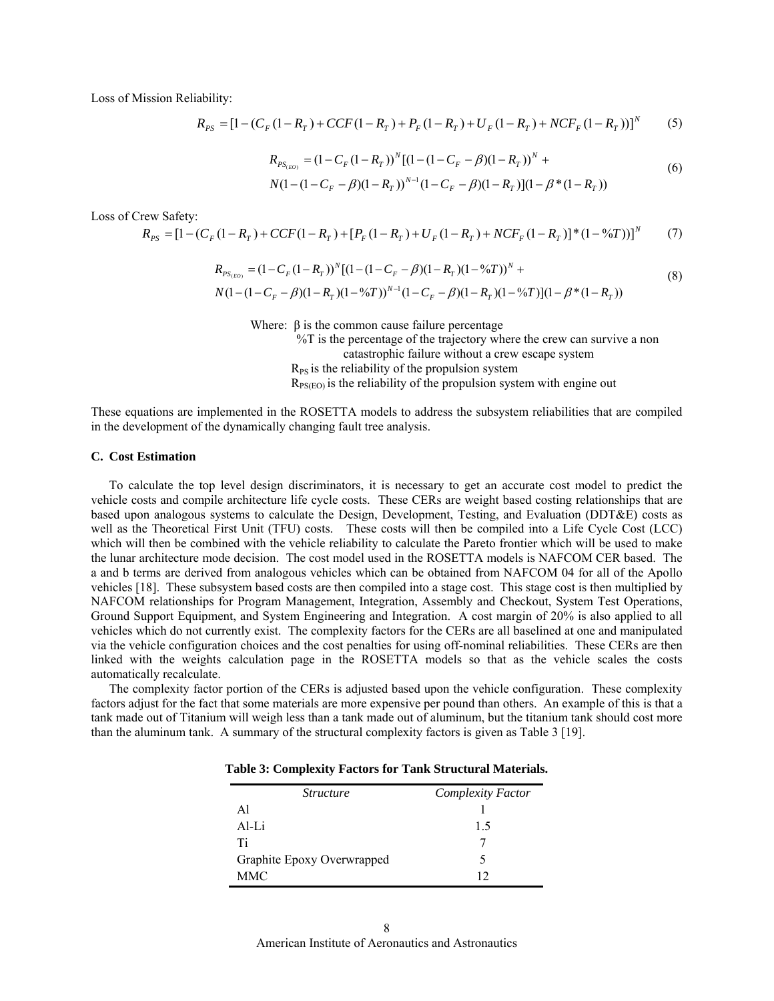Loss of Mission Reliability:

$$
R_{PS} = [1 - (C_F(1 - R_T) + CCF(1 - R_T) + P_F(1 - R_T) + U_F(1 - R_T) + NCF_F(1 - R_T))]^N
$$
 (5)

$$
R_{PS_{(EO)}} = (1 - C_F (1 - R_T))^N [(1 - (1 - C_F - \beta)(1 - R_T))^N + N(1 - (1 - C_F - \beta)(1 - R_T)) (1 - R_T)] (1 - \beta^* (1 - R_T))
$$
\n
$$
(6)
$$

Loss of Crew Safety:

$$
R_{PS} = [1 - (C_F(1 - R_T) + CCF(1 - R_T) + [P_F(1 - R_T) + U_F(1 - R_T) + NCF_F(1 - R_T)]*(1 - \frac{\omega}{T})]^{N}
$$
 (7)

$$
R_{PS_{(EO)}} = (1 - C_F (1 - R_T))^N [(1 - (1 - C_F - \beta)(1 - R_T)(1 - %T))^N + N(1 - (1 - C_F - \beta)(1 - R_T)(1 - %T))^N]
$$
\n
$$
N(1 - (1 - C_F - \beta)(1 - R_T)(1 - %T))^N - (1 - C_F - \beta)(1 - R_T)(1 - %T)[(1 - (\beta + R_T)(1 - R_T)(1 - R_T)(1 - R_T)(1 - R_T)(1 - %T))^N]
$$
\n(8)

Where:  $β$  is the common cause failure percentage

%T is the percentage of the trajectory where the crew can survive a non catastrophic failure without a crew escape system  $R_{PS}$  is the reliability of the propulsion system  $R_{PS(EO)}$  is the reliability of the propulsion system with engine out

These equations are implemented in the ROSETTA models to address the subsystem reliabilities that are compiled in the development of the dynamically changing fault tree analysis.

#### **C. Cost Estimation**

To calculate the top level design discriminators, it is necessary to get an accurate cost model to predict the vehicle costs and compile architecture life cycle costs. These CERs are weight based costing relationships that are based upon analogous systems to calculate the Design, Development, Testing, and Evaluation (DDT&E) costs as well as the Theoretical First Unit (TFU) costs. These costs will then be compiled into a Life Cycle Cost (LCC) which will then be combined with the vehicle reliability to calculate the Pareto frontier which will be used to make the lunar architecture mode decision. The cost model used in the ROSETTA models is NAFCOM CER based. The a and b terms are derived from analogous vehicles which can be obtained from NAFCOM 04 for all of the Apollo vehicles [18]. These subsystem based costs are then compiled into a stage cost. This stage cost is then multiplied by NAFCOM relationships for Program Management, Integration, Assembly and Checkout, System Test Operations, Ground Support Equipment, and System Engineering and Integration. A cost margin of 20% is also applied to all vehicles which do not currently exist. The complexity factors for the CERs are all baselined at one and manipulated via the vehicle configuration choices and the cost penalties for using off-nominal reliabilities. These CERs are then linked with the weights calculation page in the ROSETTA models so that as the vehicle scales the costs automatically recalculate.

The complexity factor portion of the CERs is adjusted based upon the vehicle configuration. These complexity factors adjust for the fact that some materials are more expensive per pound than others. An example of this is that a tank made out of Titanium will weigh less than a tank made out of aluminum, but the titanium tank should cost more than the aluminum tank. A summary of the structural complexity factors is given as Table 3 [19].

|  |  | <b>Table 3: Complexity Factors for Tank Structural Materials</b> |
|--|--|------------------------------------------------------------------|

| <i>Structure</i>           | <b>Complexity Factor</b> |
|----------------------------|--------------------------|
| Αl                         |                          |
| $Al-I.i$                   | 15                       |
| Тi                         |                          |
| Graphite Epoxy Overwrapped | ད                        |
| <b>MMC</b>                 | 12                       |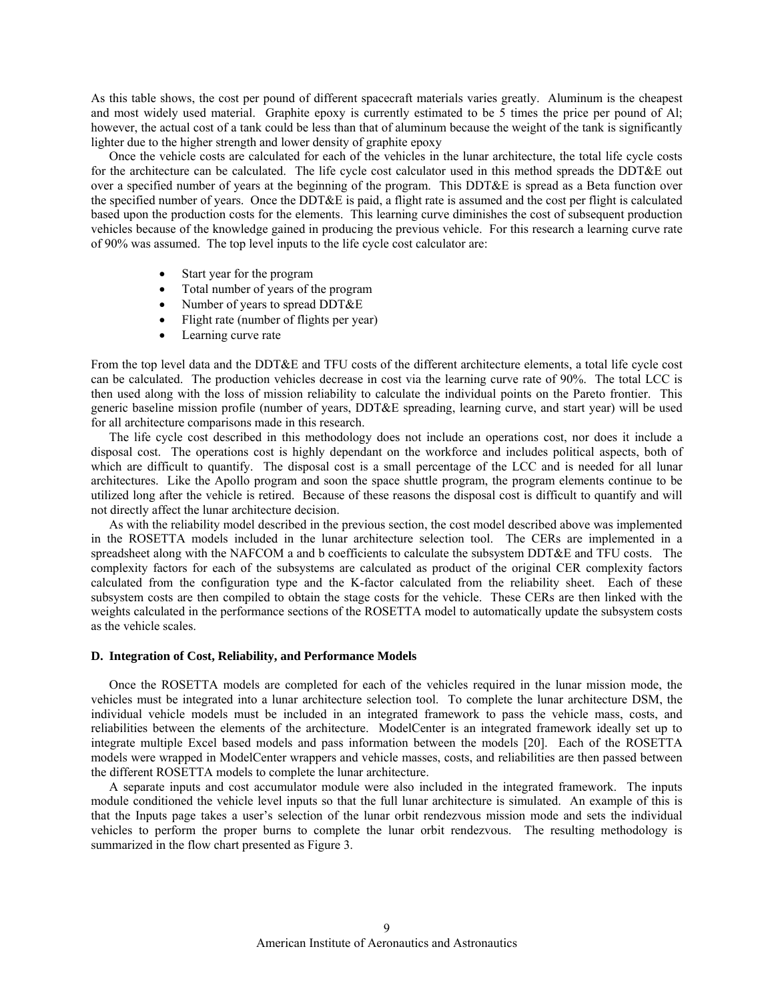As this table shows, the cost per pound of different spacecraft materials varies greatly. Aluminum is the cheapest and most widely used material. Graphite epoxy is currently estimated to be 5 times the price per pound of Al; however, the actual cost of a tank could be less than that of aluminum because the weight of the tank is significantly lighter due to the higher strength and lower density of graphite epoxy

 Once the vehicle costs are calculated for each of the vehicles in the lunar architecture, the total life cycle costs for the architecture can be calculated. The life cycle cost calculator used in this method spreads the DDT&E out over a specified number of years at the beginning of the program. This DDT&E is spread as a Beta function over the specified number of years. Once the DDT&E is paid, a flight rate is assumed and the cost per flight is calculated based upon the production costs for the elements. This learning curve diminishes the cost of subsequent production vehicles because of the knowledge gained in producing the previous vehicle. For this research a learning curve rate of 90% was assumed. The top level inputs to the life cycle cost calculator are:

- Start year for the program
- Total number of years of the program
- Number of years to spread DDT&E
- Flight rate (number of flights per year)
- Learning curve rate

From the top level data and the DDT&E and TFU costs of the different architecture elements, a total life cycle cost can be calculated. The production vehicles decrease in cost via the learning curve rate of 90%. The total LCC is then used along with the loss of mission reliability to calculate the individual points on the Pareto frontier. This generic baseline mission profile (number of years, DDT&E spreading, learning curve, and start year) will be used for all architecture comparisons made in this research.

The life cycle cost described in this methodology does not include an operations cost, nor does it include a disposal cost. The operations cost is highly dependant on the workforce and includes political aspects, both of which are difficult to quantify. The disposal cost is a small percentage of the LCC and is needed for all lunar architectures. Like the Apollo program and soon the space shuttle program, the program elements continue to be utilized long after the vehicle is retired. Because of these reasons the disposal cost is difficult to quantify and will not directly affect the lunar architecture decision.

As with the reliability model described in the previous section, the cost model described above was implemented in the ROSETTA models included in the lunar architecture selection tool. The CERs are implemented in a spreadsheet along with the NAFCOM a and b coefficients to calculate the subsystem DDT&E and TFU costs. The complexity factors for each of the subsystems are calculated as product of the original CER complexity factors calculated from the configuration type and the K-factor calculated from the reliability sheet. Each of these subsystem costs are then compiled to obtain the stage costs for the vehicle. These CERs are then linked with the weights calculated in the performance sections of the ROSETTA model to automatically update the subsystem costs as the vehicle scales.

### **D. Integration of Cost, Reliability, and Performance Models**

Once the ROSETTA models are completed for each of the vehicles required in the lunar mission mode, the vehicles must be integrated into a lunar architecture selection tool. To complete the lunar architecture DSM, the individual vehicle models must be included in an integrated framework to pass the vehicle mass, costs, and reliabilities between the elements of the architecture. ModelCenter is an integrated framework ideally set up to integrate multiple Excel based models and pass information between the models [20]. Each of the ROSETTA models were wrapped in ModelCenter wrappers and vehicle masses, costs, and reliabilities are then passed between the different ROSETTA models to complete the lunar architecture.

A separate inputs and cost accumulator module were also included in the integrated framework. The inputs module conditioned the vehicle level inputs so that the full lunar architecture is simulated. An example of this is that the Inputs page takes a user's selection of the lunar orbit rendezvous mission mode and sets the individual vehicles to perform the proper burns to complete the lunar orbit rendezvous. The resulting methodology is summarized in the flow chart presented as Figure 3.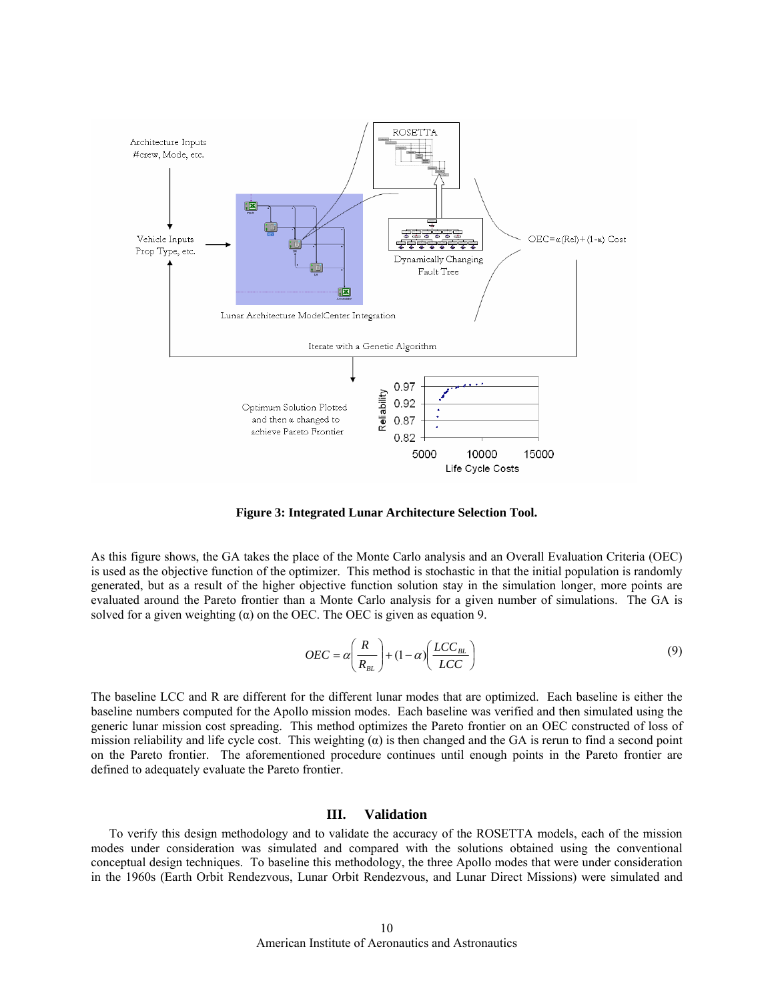

As this figure shows, the GA takes the place of the Monte Carlo analysis and an Overall Evaluation Criteria (OEC) is used as the objective function of the optimizer. This method is stochastic in that the initial population is randomly generated, but as a result of the higher objective function solution stay in the simulation longer, more points are evaluated around the Pareto frontier than a Monte Carlo analysis for a given number of simulations. The GA is solved for a given weighting  $(\alpha)$  on the OEC. The OEC is given as equation 9.

$$
OEC = \alpha \left(\frac{R}{R_{BL}}\right) + (1 - \alpha) \left(\frac{LCC_{BL}}{LCC}\right) \tag{9}
$$

Figure 3: Integrated Lunar Architecture Selection Tool.<br>
A takes the place of the Monte Carlo analysis and an Overal<br>
cion of the optimizer. This method is stochastic in that the infermention feature function solution sta The baseline LCC and R are different for the different lunar modes that are optimized. Each baseline is either the baseline numbers computed for the Apollo mission modes. Each baseline was verified and then simulated using the generic lunar mission cost spreading. This method optimizes the Pareto frontier on an OEC constructed of loss of mission reliability and life cycle cost. This weighting  $\alpha$  is then changed and the GA is rerun to find a second point on the Pareto frontier. The aforementioned procedure continues until enough points in the Pareto frontier are defined to adequately evaluate the Pareto frontier.

### **III. Validation**

To verify this design methodology and to validate the accuracy of the ROSETTA models, each of the mission modes under consideration was simulated and compared with the solutions obtained using the conventional conceptual design techniques. To baseline this methodology, the three Apollo modes that were under consideration in the 1960s (Earth Orbit Rendezvous, Lunar Orbit Rendezvous, and Lunar Direct Missions) were simulated and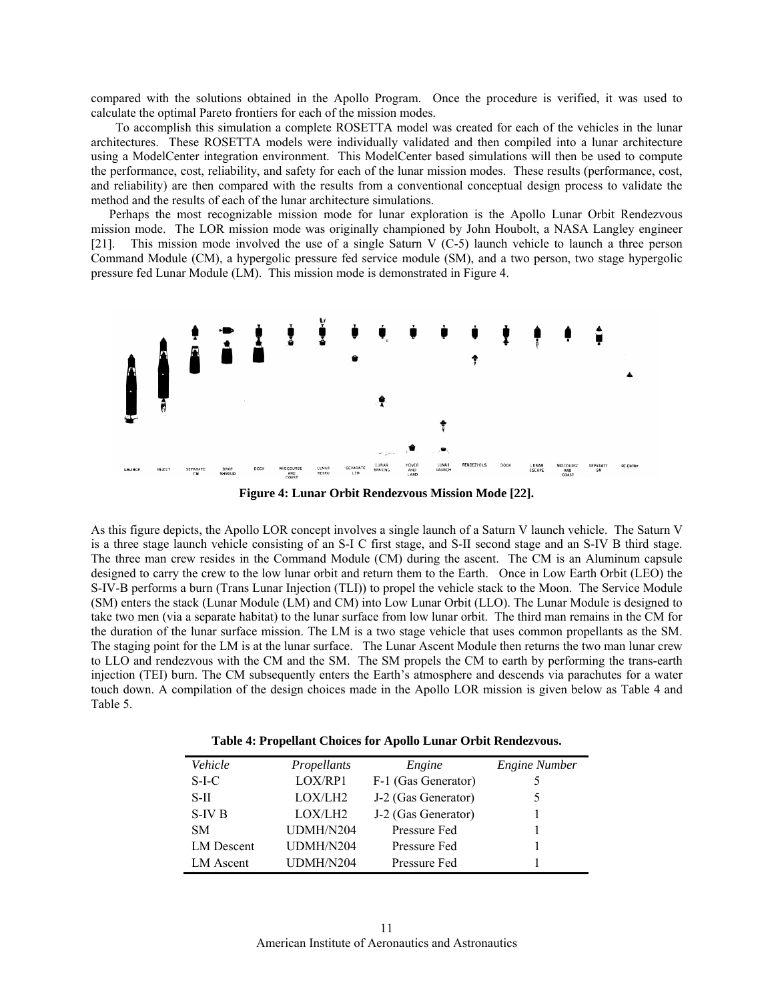calculate the optimal Pareto frontiers for each of the mission modes.

 To accomplish this simulation a complete ROSETTA model was created for each of the vehicles in the lunar architectures. These ROSETTA models were individually validated and then compiled into a lunar architecture using a ModelCenter integration environment. This ModelCenter based simulations will then be used to compute the performance, cost, reliability, and safety for each of the lunar mission modes. These results (performance, cost, and reliability) are then compared with the results from a conventional conceptual design process to validate the method and the results of each of the lunar architecture simulations.

Perhaps the most recognizable mission mode for lunar exploration is the Apollo Lunar Orbit Rendezvous mission mode. The LOR mission mode was originally championed by John Houbolt, a NASA Langley engineer [21]. This mission mode involved the use of a single Saturn V (C-5) launch vehicle to launch a three person Command Module (CM), a hypergolic pressure fed service module (SM), and a two person, two stage hypergolic pressure fed Lunar Module (LM). This mission mode is demonstrated in Figure 4.



**Figure 4: Lunar Orbit Rendezvous Mission Mode [22].** 

organize of the solutions obtained with the solutions obtained in the solution of the procedure is verified, it was used to the solution of the solution of the solution of the solution of the solution of the solution of As this figure depicts, the Apollo LOR concept involves a single launch of a Saturn V launch vehicle. The Saturn V is a three stage launch vehicle consisting of an S-I C first stage, and S-II second stage and an S-IV B third stage. The three man crew resides in the Command Module (CM) during the ascent. The CM is an Aluminum capsule designed to carry the crew to the low lunar orbit and return them to the Earth. Once in Low Earth Orbit (LEO) the S-IV-B performs a burn (Trans Lunar Injection (TLI)) to propel the vehicle stack to the Moon. The Service Module (SM) enters the stack (Lunar Module (LM) and CM) into Low Lunar Orbit (LLO). The Lunar Module is designed to take two men (via a separate habitat) to the lunar surface from low lunar orbit. The third man remains in the CM for the duration of the lunar surface mission. The LM is a two stage vehicle that uses common propellants as the SM. The staging point for the LM is at the lunar surface. The Lunar Ascent Module then returns the two man lunar crew to LLO and rendezvous with the CM and the SM. The SM propels the CM to earth by performing the trans-earth injection (TEI) burn. The CM subsequently enters the Earth's atmosphere and descends via parachutes for a water touch down. A compilation of the design choices made in the Apollo LOR mission is given below as Table 4 and Table 5.

| Vehicle           | Propellants         | Engine              | <b>Engine Number</b> |
|-------------------|---------------------|---------------------|----------------------|
| S-I-C             | LOX/RP1             | F-1 (Gas Generator) |                      |
| S-II              | LOX/LH <sub>2</sub> | J-2 (Gas Generator) |                      |
| S-IV <sub>B</sub> | LOX/LH2             | J-2 (Gas Generator) |                      |
| <b>SM</b>         | UDMH/N204           | Pressure Fed        |                      |
| LM Descent        | UDMH/N204           | Pressure Fed        |                      |
| LM Ascent         | UDMH/N204           | Pressure Fed        |                      |

**Table 4: Propellant Choices for Apollo Lunar Orbit Rendezvous.**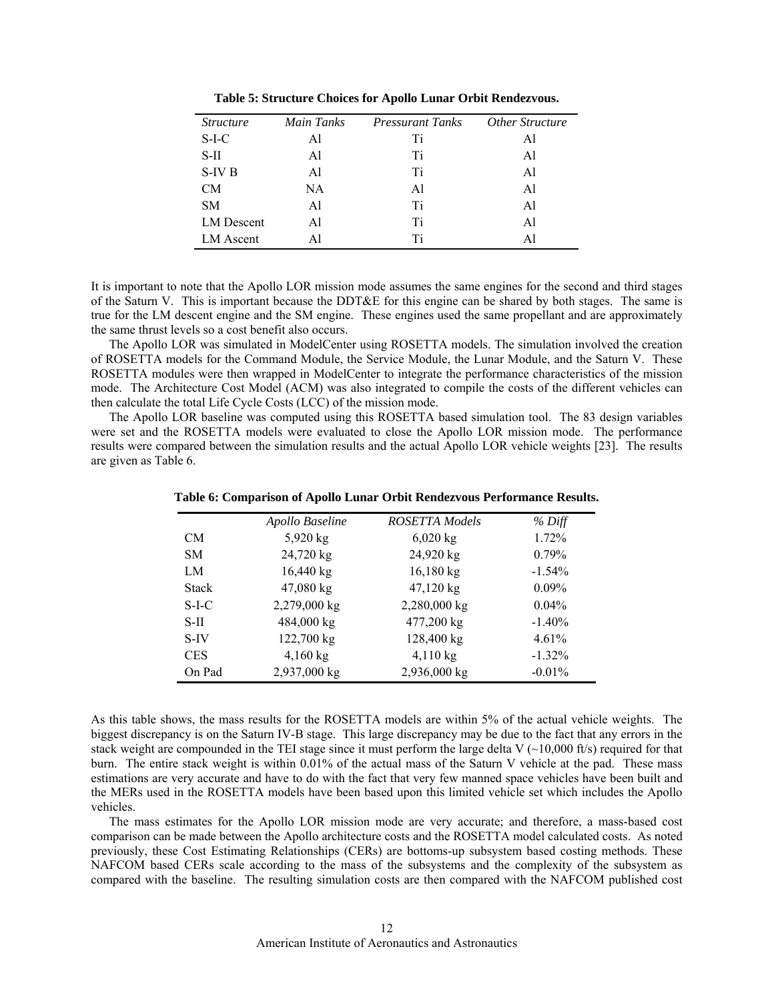| <i>Structure</i>  | Main Tanks | <b>Pressurant Tanks</b> | <b>Other Structure</b> |
|-------------------|------------|-------------------------|------------------------|
| S-I-C             | Al         | Ti                      | Al                     |
| S-II              | Al         | Ti                      | Al                     |
| S-IV B            | Al         | Ti                      | Al                     |
| CМ                | NA         | Al                      | Al                     |
| <b>SM</b>         | Al         | Ti                      | Al                     |
| <b>LM</b> Descent | Al         | Ti                      | Al                     |
| LM Ascent         |            | Ti                      | Αl                     |

It is important to note that the Apollo LOR mission mode assumes the same engines for the second and third stages of the Saturn V. This is important because the DDT&E for this engine can be shared by both stages. The same is true for the LM descent engine and the SM engine. These engines used the same propellant and are approximately the same thrust levels so a cost benefit also occurs.

The Apollo LOR was simulated in ModelCenter using ROSETTA models. The simulation involved the creation of ROSETTA models for the Command Module, the Service Module, the Lunar Module, and the Saturn V. These ROSETTA modules were then wrapped in ModelCenter to integrate the performance characteristics of the mission mode. The Architecture Cost Model (ACM) was also integrated to compile the costs of the different vehicles can then calculate the total Life Cycle Costs (LCC) of the mission mode.

The Apollo LOR baseline was computed using this ROSETTA based simulation tool. The 83 design variables were set and the ROSETTA models were evaluated to close the Apollo LOR mission mode. The performance results were compared between the simulation results and the actual Apollo LOR vehicle weights [23]. The results are given as Table 6.

| $S-I-C$<br>$S-II$<br>S-IV <sub>B</sub><br>CM<br><b>SM</b><br><b>LM</b> Descent<br><b>LM</b> Ascent | Al<br>Al<br>Al<br>NA<br>Al                                                                  | Ti<br>Ti                                                                                                                                                                                                                                                                                                                                                                                                                                                                                                                                                                                                                                                                                                                                                                                                                       | Al       |
|----------------------------------------------------------------------------------------------------|---------------------------------------------------------------------------------------------|--------------------------------------------------------------------------------------------------------------------------------------------------------------------------------------------------------------------------------------------------------------------------------------------------------------------------------------------------------------------------------------------------------------------------------------------------------------------------------------------------------------------------------------------------------------------------------------------------------------------------------------------------------------------------------------------------------------------------------------------------------------------------------------------------------------------------------|----------|
|                                                                                                    |                                                                                             |                                                                                                                                                                                                                                                                                                                                                                                                                                                                                                                                                                                                                                                                                                                                                                                                                                | Al       |
|                                                                                                    |                                                                                             | Ti                                                                                                                                                                                                                                                                                                                                                                                                                                                                                                                                                                                                                                                                                                                                                                                                                             | AI       |
|                                                                                                    |                                                                                             | AI                                                                                                                                                                                                                                                                                                                                                                                                                                                                                                                                                                                                                                                                                                                                                                                                                             | AI       |
|                                                                                                    |                                                                                             | T <sub>i</sub>                                                                                                                                                                                                                                                                                                                                                                                                                                                                                                                                                                                                                                                                                                                                                                                                                 | AI       |
|                                                                                                    |                                                                                             | Ti                                                                                                                                                                                                                                                                                                                                                                                                                                                                                                                                                                                                                                                                                                                                                                                                                             | AI       |
|                                                                                                    | Al<br>Al                                                                                    | Ti                                                                                                                                                                                                                                                                                                                                                                                                                                                                                                                                                                                                                                                                                                                                                                                                                             | Al       |
|                                                                                                    |                                                                                             |                                                                                                                                                                                                                                                                                                                                                                                                                                                                                                                                                                                                                                                                                                                                                                                                                                |          |
|                                                                                                    | evels so a cost benefit also occurs.<br>e total Life Cycle Costs (LCC) of the mission mode. | note that the Apollo LOR mission mode assumes the same engines for the second<br>This is important because the DDT&E for this engine can be shared by both sta<br>descent engine and the SM engine. These engines used the same propellant and a<br>OR was simulated in ModelCenter using ROSETTA models. The simulation invo<br>odels for the Command Module, the Service Module, the Lunar Module, and the<br>ales were then wrapped in ModelCenter to integrate the performance characteristi<br>nitecture Cost Model (ACM) was also integrated to compile the costs of the different<br>OR baseline was computed using this ROSETTA based simulation tool. The 83<br>ROSETTA models were evaluated to close the Apollo LOR mission mode.<br>pared between the simulation results and the actual Apollo LOR vehicle weights |          |
|                                                                                                    |                                                                                             | <b>Table 6: Comparison of Apollo Lunar Orbit Rendezvous Performance Results</b>                                                                                                                                                                                                                                                                                                                                                                                                                                                                                                                                                                                                                                                                                                                                                |          |
|                                                                                                    | Apollo Baseline                                                                             | <b>ROSETTA</b> Models                                                                                                                                                                                                                                                                                                                                                                                                                                                                                                                                                                                                                                                                                                                                                                                                          | % Diff   |
| CM                                                                                                 | 5,920 kg                                                                                    | $6,020$ kg                                                                                                                                                                                                                                                                                                                                                                                                                                                                                                                                                                                                                                                                                                                                                                                                                     | 1.72%    |
| <b>SM</b>                                                                                          | 24,720 kg                                                                                   | 24,920 kg                                                                                                                                                                                                                                                                                                                                                                                                                                                                                                                                                                                                                                                                                                                                                                                                                      | 0.79%    |
| LM                                                                                                 | 16,440 kg                                                                                   | 16,180 kg                                                                                                                                                                                                                                                                                                                                                                                                                                                                                                                                                                                                                                                                                                                                                                                                                      | $-1.54%$ |
| <b>Stack</b>                                                                                       | 47,080 kg                                                                                   | 47,120 kg                                                                                                                                                                                                                                                                                                                                                                                                                                                                                                                                                                                                                                                                                                                                                                                                                      | 0.09%    |
| $S-I-C$                                                                                            | 2,279,000 kg                                                                                | 2,280,000 kg                                                                                                                                                                                                                                                                                                                                                                                                                                                                                                                                                                                                                                                                                                                                                                                                                   | 0.04%    |
| $S-II$                                                                                             | 484,000 kg                                                                                  | 477,200 kg                                                                                                                                                                                                                                                                                                                                                                                                                                                                                                                                                                                                                                                                                                                                                                                                                     | $-1.40%$ |
| S-IV                                                                                               | 122,700 kg                                                                                  | 128,400 kg                                                                                                                                                                                                                                                                                                                                                                                                                                                                                                                                                                                                                                                                                                                                                                                                                     | 4.61%    |
| <b>CES</b>                                                                                         | 4,160 kg                                                                                    | 4,110 kg                                                                                                                                                                                                                                                                                                                                                                                                                                                                                                                                                                                                                                                                                                                                                                                                                       | $-1.32%$ |
| On Pad                                                                                             | 2,937,000 kg                                                                                | 2,936,000 kg                                                                                                                                                                                                                                                                                                                                                                                                                                                                                                                                                                                                                                                                                                                                                                                                                   | $-0.01%$ |
|                                                                                                    |                                                                                             | ws, the mass results for the ROSETTA models are within 5% of the actual vehi-                                                                                                                                                                                                                                                                                                                                                                                                                                                                                                                                                                                                                                                                                                                                                  |          |

**Table 6: Comparison of Apollo Lunar Orbit Rendezvous Performance Results.** 

As this table shows, the mass results for the ROSETTA models are within 5% of the actual vehicle weights. The biggest discrepancy is on the Saturn IV-B stage. This large discrepancy may be due to the fact that any errors in the stack weight are compounded in the TEI stage since it must perform the large delta V  $(\sim 10,000$  ft/s) required for that burn. The entire stack weight is within 0.01% of the actual mass of the Saturn V vehicle at the pad. These mass estimations are very accurate and have to do with the fact that very few manned space vehicles have been built and the MERs used in the ROSETTA models have been based upon this limited vehicle set which includes the Apollo vehicles.

 The mass estimates for the Apollo LOR mission mode are very accurate; and therefore, a mass-based cost comparison can be made between the Apollo architecture costs and the ROSETTA model calculated costs. As noted previously, these Cost Estimating Relationships (CERs) are bottoms-up subsystem based costing methods. These NAFCOM based CERs scale according to the mass of the subsystems and the complexity of the subsystem as compared with the baseline. The resulting simulation costs are then compared with the NAFCOM published cost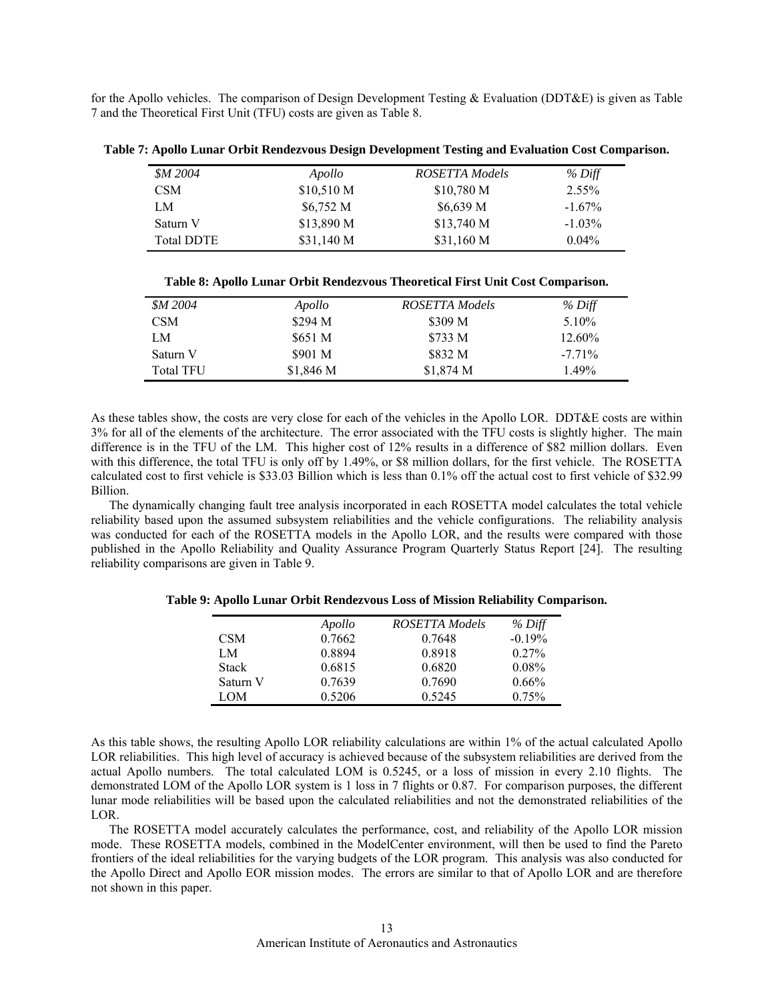7 and the Theoretical First Unit (TFU) costs are given as Table 8.

| <i>SM</i> 2004    | Apollo     | ROSETTA Models | $%$ Diff  |
|-------------------|------------|----------------|-----------|
| <b>CSM</b>        | \$10,510 M | $$10,780$ M    | $2.55\%$  |
| LM                | $$6,752$ M | $$6,639$ M     | $-1.67\%$ |
| Saturn V          | \$13,890 M | \$13,740 M     | $-1.03\%$ |
| <b>Total DDTE</b> | \$31,140 M | \$31,160 M     | $0.04\%$  |

**Table 7: Apollo Lunar Orbit Rendezvous Design Development Testing and Evaluation Cost Comparison.** 

|  | Table 8: Apollo Lunar Orbit Rendezvous Theoretical First Unit Cost Comparison. |
|--|--------------------------------------------------------------------------------|
|--|--------------------------------------------------------------------------------|

| <i>SM</i> 2004 | Apollo    | ROSETTA Models | $%$ Diff  |
|----------------|-----------|----------------|-----------|
| <b>CSM</b>     | \$294 M   | \$309 M        | 5.10%     |
| LM             | \$651 M   | \$733 M        | 12.60%    |
| Saturn V       | \$901 M   | \$832 M        | $-7.71\%$ |
| Total TFU      | \$1,846 M | $$1,874$ M     | 1.49%     |
|                |           |                |           |

For the Apollo vehicles. The comparison of Design Development Testing & Evaluation COMERC is given as Table<br>
Table ?: Apollo Lunar Orbit Rendezvous Design Development Testing and Evaluation Conf Comparison.<br>
Table ?: Apol As these tables show, the costs are very close for each of the vehicles in the Apollo LOR. DDT&E costs are within 3% for all of the elements of the architecture. The error associated with the TFU costs is slightly higher. The main difference is in the TFU of the LM. This higher cost of 12% results in a difference of \$82 million dollars. Even with this difference, the total TFU is only off by 1.49%, or \$8 million dollars, for the first vehicle. The ROSETTA calculated cost to first vehicle is \$33.03 Billion which is less than 0.1% off the actual cost to first vehicle of \$32.99 Billion.

 The dynamically changing fault tree analysis incorporated in each ROSETTA model calculates the total vehicle reliability based upon the assumed subsystem reliabilities and the vehicle configurations. The reliability analysis was conducted for each of the ROSETTA models in the Apollo LOR, and the results were compared with those published in the Apollo Reliability and Quality Assurance Program Quarterly Status Report [24]. The resulting reliability comparisons are given in Table 9.

|              | Apollo | <b>ROSETTA</b> Models | $%$ Diff |
|--------------|--------|-----------------------|----------|
| <b>CSM</b>   | 0.7662 | 0.7648                | $-0.19%$ |
| LM           | 0.8894 | 0.8918                | $0.27\%$ |
| <b>Stack</b> | 0.6815 | 0.6820                | $0.08\%$ |
| Saturn V     | 0.7639 | 0.7690                | $0.66\%$ |
| <b>LOM</b>   | 0.5206 | 0.5245                | 0.75%    |

**Table 9: Apollo Lunar Orbit Rendezvous Loss of Mission Reliability Comparison.** 

As this table shows, the resulting Apollo LOR reliability calculations are within 1% of the actual calculated Apollo LOR reliabilities. This high level of accuracy is achieved because of the subsystem reliabilities are derived from the actual Apollo numbers. The total calculated LOM is 0.5245, or a loss of mission in every 2.10 flights. The demonstrated LOM of the Apollo LOR system is 1 loss in 7 flights or 0.87. For comparison purposes, the different lunar mode reliabilities will be based upon the calculated reliabilities and not the demonstrated reliabilities of the LOR.

 The ROSETTA model accurately calculates the performance, cost, and reliability of the Apollo LOR mission mode. These ROSETTA models, combined in the ModelCenter environment, will then be used to find the Pareto frontiers of the ideal reliabilities for the varying budgets of the LOR program. This analysis was also conducted for the Apollo Direct and Apollo EOR mission modes. The errors are similar to that of Apollo LOR and are therefore not shown in this paper.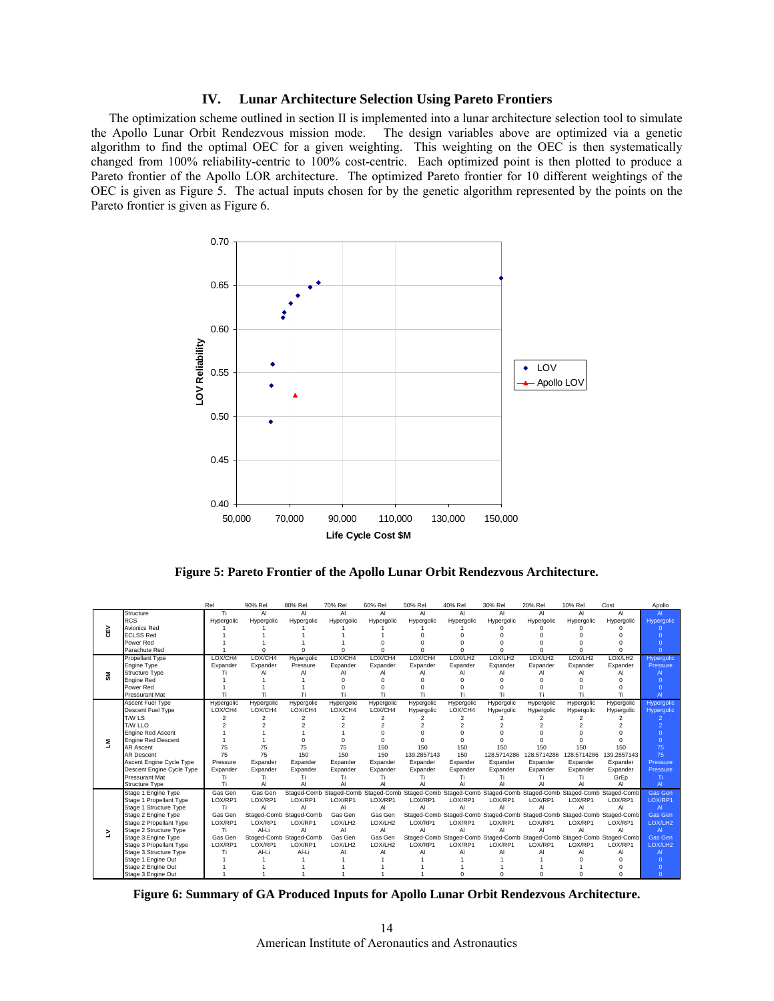The optimization scheme outlined in section II is implemented into a lunar architecture selection tool to simulate the Apollo Lunar Orbit Rendezvous mission mode. The design variables above are optimized via a genetic algorithm to find the optimal OEC for a given weighting. This weighting on the OEC is then systematically changed from 100% reliability-centric to 100% cost-centric. Each optimized point is then plotted to produce a Pareto frontier of the Apollo LOR architecture. The optimized Pareto frontier for 10 different weightings of the OEC is given as Figure 5. The actual inputs chosen for by the genetic algorithm represented by the points on the Pareto frontier is given as Figure 6.



**Figure 5: Pareto Frontier of the Apollo Lunar Orbit Rendezvous Architecture.** 

|   |                           | Rel        | 90% Rel    | 80% Rel                 | 70% Rel    | 60% Rel    | 50% Rel                                                                                                     | 40% Rel    | 30% Rel     | 20% Rel     | 10% Rel                                                                 | Cost        | Apollo            |
|---|---------------------------|------------|------------|-------------------------|------------|------------|-------------------------------------------------------------------------------------------------------------|------------|-------------|-------------|-------------------------------------------------------------------------|-------------|-------------------|
|   | Structure                 | Τī         | AI         | AI                      | AI         | AI         | AI                                                                                                          | AI         | AI          | AI          | AI                                                                      | AI          | AI                |
|   | <b>RCS</b>                | Hypergolic | Hypergolic | Hypergolic              | Hypergolic | Hypergolic | Hypergolic                                                                                                  | Hypergolic | Hypergolic  | Hypergolic  | Hypergolic                                                              | Hypergolic  | <b>Hypergolic</b> |
| 읎 | Avionics Red              |            |            |                         |            |            |                                                                                                             |            |             |             |                                                                         |             |                   |
|   | <b>ECLSS Red</b>          |            |            |                         |            |            |                                                                                                             |            |             |             |                                                                         |             |                   |
|   | Power Red                 |            |            |                         |            |            |                                                                                                             |            |             |             |                                                                         |             |                   |
|   | Parachute Red             |            |            |                         |            |            |                                                                                                             |            |             |             |                                                                         |             | $\Omega$          |
|   | <b>Propellant Type</b>    | LOX/CH4    | LOX/CH4    | Hypergolic              | LOX/CH4    | LOX/CH4    | LOX/CH4                                                                                                     | LOX/LH2    | LOX/LH2     | LOX/LH2     | LOX/LH2                                                                 | LOX/LH2     | <b>Hypergolic</b> |
|   | <b>Engine Type</b>        | Expander   | Expander   | Pressure                | Expander   | Expander   | Expander                                                                                                    | Expander   | Expander    | Expander    | Expander                                                                | Expander    | Pressure          |
| 훎 | <b>Structure Type</b>     |            | ΑI         | AI                      | ΑI         | AI         | AI                                                                                                          | A١         |             | AI          |                                                                         | AI          | AI                |
|   | <b>Engine Red</b>         |            |            |                         |            |            |                                                                                                             |            |             |             |                                                                         |             | $\Omega$          |
|   | Power Red                 |            |            |                         |            |            |                                                                                                             |            |             |             |                                                                         |             | $\Omega$          |
|   | <b>Pressurant Mat</b>     | Ti         | Ti         |                         | Ti         | Τi         |                                                                                                             | Τi         | Τi          | Ti          |                                                                         | Ti.         | AI.               |
|   | <b>Ascent Fuel Type</b>   | Hypergolic | Hypergolic | Hypergolic              | Hypergolic | Hypergolic | Hypergolic                                                                                                  | Hypergolic | Hypergolic  | Hypergolic  | Hypergolic                                                              | Hypergolic  | Hypergolic        |
|   | Descent Fuel Type         | LOX/CH4    | LOX/CH4    | LOX/CH4                 | LOX/CH4    | LOX/CH4    | Hypergolic                                                                                                  | LOX/CH4    | Hypergolic  | Hypergolic  | Hypergolic                                                              | Hypergolic  | Hypergolic        |
|   | T/W LS                    |            |            |                         |            |            |                                                                                                             |            |             |             |                                                                         |             |                   |
|   | T/W LLO                   |            |            |                         |            |            |                                                                                                             |            |             |             |                                                                         |             |                   |
|   | <b>Engine Red Ascent</b>  |            |            |                         |            |            |                                                                                                             |            |             |             |                                                                         |             | $\Omega$          |
| Ξ | <b>Engine Red Descent</b> |            |            |                         |            |            |                                                                                                             |            |             |             |                                                                         |             | $\Omega$          |
|   | <b>AR Ascent</b>          | 75         | 75         | 75                      | 75         | 150        | 150                                                                                                         | 150        | 150         | 150         | 150                                                                     | 150         | 75                |
|   | <b>AR Descent</b>         | 75         | 75         | 150                     | 150        | 150        | 139.2857143                                                                                                 | 150        | 128.5714286 | 128.5714286 | 128.5714286                                                             | 139.2857143 | 75                |
|   | Ascent Engine Cycle Type  | Pressure   | Expander   | Expander                | Expander   | Expander   | Expander                                                                                                    | Expander   | Expander    | Expander    | Expander                                                                | Expander    | Pressure          |
|   | Descent Engine Cycle Type | Expander   | Expander   | Expander                | Expander   | Expander   | Expander                                                                                                    | Expander   | Expander    | Expander    | Expander                                                                | Expander    | Pressure          |
|   | <b>Pressurant Mat</b>     | Τi         | Τi         | Τi                      | Τi         | Τi         | Τi                                                                                                          | Ti         | Τi          | Τi          | Τi                                                                      | GrEp        | Ti.               |
|   | Structure Type            | Ti.        | AI         | AI                      | AI         | AI         | AI                                                                                                          | AI         |             | AI          | AI                                                                      | ΑI          | AI.               |
|   | Stage 1 Engine Type       | Gas Gen    | Gas Gen    |                         |            |            | Staged-Comb Staged-Comb Staged-Comb Staged-Comb Staged-Comb Staged-Comb Staged-Comb Staged-Comb Staged-Comb |            |             |             |                                                                         |             | Gas Gen           |
|   | Stage 1 Propellant Type   | LOX/RP1    | LOX/RP1    | LOX/RP1                 | LOX/RP1    | LOX/RP1    | LOX/RP1                                                                                                     | LOX/RP1    | LOX/RP1     | LOX/RP1     | LOX/RP1                                                                 | LOX/RP1     | LOX/RP1           |
|   | Stage 1 Structure Type    | Tì.        | AI         | AI                      | AI         | AI         | AI                                                                                                          | AI         | AI          | AI          | AI                                                                      | AI          | <b>AI</b>         |
|   | Stage 2 Engine Type       | Gas Gen    |            | Staged-Comb Staged-Comb | Gas Gen    | Gas Gen    |                                                                                                             |            |             |             | Staged-Comb Staged-Comb Staged-Comb Staged-Comb Staged-Comb Staged-Comb |             | Gas Gen           |
|   | Stage 2 Propellant Type   | LOX/RP1    | LOX/RP1    | LOX/RP1                 | LOX/LH2    | LOX/LH2    | LOX/RP1                                                                                                     | LOX/RP1    | LOX/RP1     | LOX/RP1     | LOX/RP1                                                                 | LOX/RP1     | LOX/LH2           |
| ₹ | Stage 2 Structure Type    | Tì.        | Al-Li      | AI                      | AI         | AI         | AI                                                                                                          | AI         | AI          | AI          | AI                                                                      | AI          | AI.               |
|   | Stage 3 Engine Type       | Gas Gen    |            | Staged-Comb Staged-Comb | Gas Gen    | Gas Gen    |                                                                                                             |            |             |             | Staged-Comb Staged-Comb Staged-Comb Staged-Comb Staged-Comb Staged-Comb |             | Gas Gen           |
|   | Stage 3 Propellant Type   | LOX/RP1    | LOX/RP1    | LOX/RP1                 | LOX/LH2    | LOX/LH2    | LOX/RP1                                                                                                     | LOX/RP1    | LOX/RP1     | LOX/RP1     | LOX/RP1                                                                 | LOX/RP1     | LOX/LH2           |
|   | Stage 3 Structure Type    | Τï         | Al-Li      | Al-Li                   | AI         | ΑI         | ΑI                                                                                                          | ΑI         | ΔΙ          | AI          | AI                                                                      | AI          | AI                |
|   | Stage 1 Engine Out        |            |            |                         |            |            |                                                                                                             |            |             |             |                                                                         |             | $\Omega$          |
|   | Stage 2 Engine Out        |            |            |                         |            |            |                                                                                                             |            |             |             |                                                                         |             | $\Omega$          |
|   | Stage 3 Engine Out        |            |            |                         |            |            |                                                                                                             |            |             |             |                                                                         |             | $\Omega$          |

**Figure 6: Summary of GA Produced Inputs for Apollo Lunar Orbit Rendezvous Architecture.**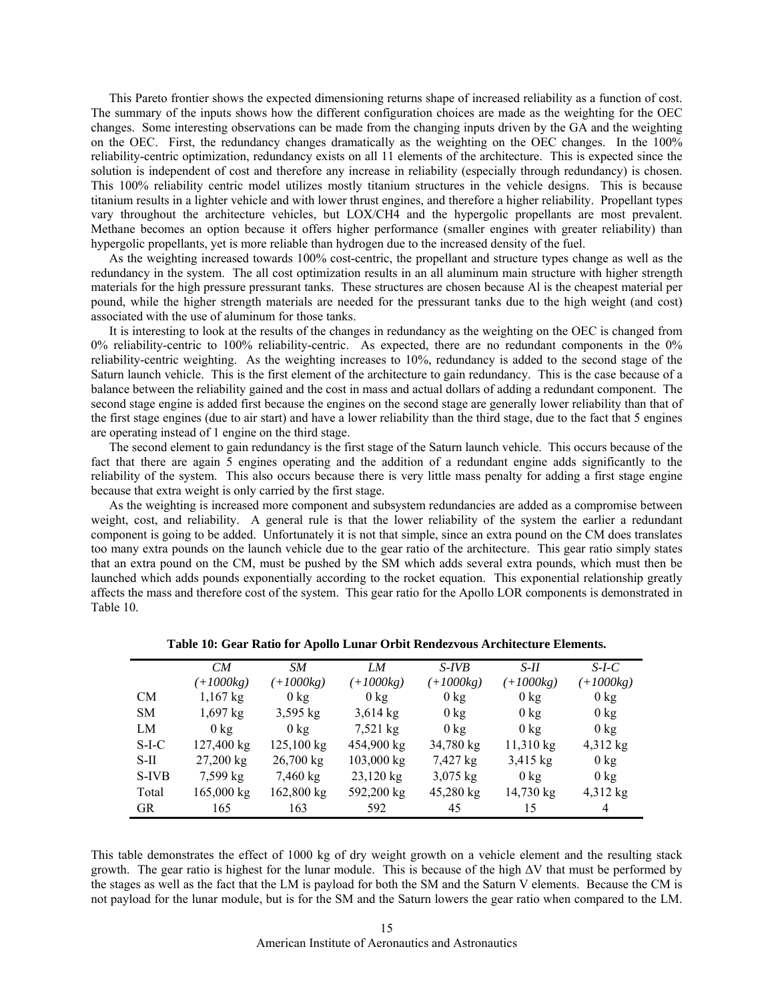This Pareto frontier shows the expected dimensioning returns shape of increased reliability as a function of oxtensive to the experiment of increase in the experiment of increase increases in the experiment of increase in The summary of the inputs shows how the different configuration choices are made as the weighting for the OEC changes. Some interesting observations can be made from the changing inputs driven by the GA and the weighting on the OEC. First, the redundancy changes dramatically as the weighting on the OEC changes. In the 100% reliability-centric optimization, redundancy exists on all 11 elements of the architecture. This is expected since the solution is independent of cost and therefore any increase in reliability (especially through redundancy) is chosen. This 100% reliability centric model utilizes mostly titanium structures in the vehicle designs. This is because titanium results in a lighter vehicle and with lower thrust engines, and therefore a higher reliability. Propellant types vary throughout the architecture vehicles, but LOX/CH4 and the hypergolic propellants are most prevalent. Methane becomes an option because it offers higher performance (smaller engines with greater reliability) than hypergolic propellants, yet is more reliable than hydrogen due to the increased density of the fuel.

 As the weighting increased towards 100% cost-centric, the propellant and structure types change as well as the redundancy in the system. The all cost optimization results in an all aluminum main structure with higher strength materials for the high pressure pressurant tanks. These structures are chosen because Al is the cheapest material per pound, while the higher strength materials are needed for the pressurant tanks due to the high weight (and cost) associated with the use of aluminum for those tanks.

 It is interesting to look at the results of the changes in redundancy as the weighting on the OEC is changed from 0% reliability-centric to 100% reliability-centric. As expected, there are no redundant components in the 0% reliability-centric weighting. As the weighting increases to 10%, redundancy is added to the second stage of the Saturn launch vehicle. This is the first element of the architecture to gain redundancy. This is the case because of a balance between the reliability gained and the cost in mass and actual dollars of adding a redundant component. The second stage engine is added first because the engines on the second stage are generally lower reliability than that of the first stage engines (due to air start) and have a lower reliability than the third stage, due to the fact that 5 engines are operating instead of 1 engine on the third stage.

 The second element to gain redundancy is the first stage of the Saturn launch vehicle. This occurs because of the fact that there are again 5 engines operating and the addition of a redundant engine adds significantly to the reliability of the system. This also occurs because there is very little mass penalty for adding a first stage engine because that extra weight is only carried by the first stage.

As the weighting is increased more component and subsystem redundancies are added as a compromise between weight, cost, and reliability. A general rule is that the lower reliability of the system the earlier a redundant component is going to be added. Unfortunately it is not that simple, since an extra pound on the CM does translates too many extra pounds on the launch vehicle due to the gear ratio of the architecture. This gear ratio simply states that an extra pound on the CM, must be pushed by the SM which adds several extra pounds, which must then be launched which adds pounds exponentially according to the rocket equation. This exponential relationship greatly affects the mass and therefore cost of the system. This gear ratio for the Apollo LOR components is demonstrated in Table 10.

|           | CM             | SM.            | LM             | $S-IVB$        | $S-II$         | $S-I-C$        |
|-----------|----------------|----------------|----------------|----------------|----------------|----------------|
|           | $(+1000kg)$    | $(+1000kg)$    | $(+1000kg)$    | $(+1000kg)$    | $(+1000kg)$    | $(+1000kg)$    |
| <b>CM</b> | $1,167$ kg     | $0 \text{ kg}$ | $0 \text{ kg}$ | $0 \text{ kg}$ | $0 \text{ kg}$ | $0 \text{ kg}$ |
| <b>SM</b> | $1,697$ kg     | $3,595$ kg     | $3,614$ kg     | $0 \text{ kg}$ | $0 \text{ kg}$ | $0 \text{ kg}$ |
| LM        | $0 \text{ kg}$ | $0 \text{ kg}$ | 7,521 kg       | $0 \text{ kg}$ | $0 \text{ kg}$ | $0 \text{ kg}$ |
| $S-I-C$   | 127,400 kg     | 125,100 kg     | 454,900 kg     | 34,780 kg      | $11,310$ kg    | 4,312 kg       |
| S-II      | $27,200$ kg    | $26,700$ kg    | 103,000 kg     | 7,427 kg       | 3,415 kg       | $0 \text{ kg}$ |
| S-IVB     | 7,599 kg       | 7,460 kg       | $23,120$ kg    | $3,075$ kg     | $0 \text{ kg}$ | $0 \text{ kg}$ |
| Total     | 165,000 kg     | 162,800 kg     | 592,200 kg     | 45,280 kg      | 14,730 kg      | 4,312 kg       |
| <b>GR</b> | 165            | 163            | 592            | 45             | 15             | 4              |

**Table 10: Gear Ratio for Apollo Lunar Orbit Rendezvous Architecture Elements.** 

This table demonstrates the effect of 1000 kg of dry weight growth on a vehicle element and the resulting stack growth. The gear ratio is highest for the lunar module. This is because of the high ∆V that must be performed by the stages as well as the fact that the LM is payload for both the SM and the Saturn V elements. Because the CM is not payload for the lunar module, but is for the SM and the Saturn lowers the gear ratio when compared to the LM.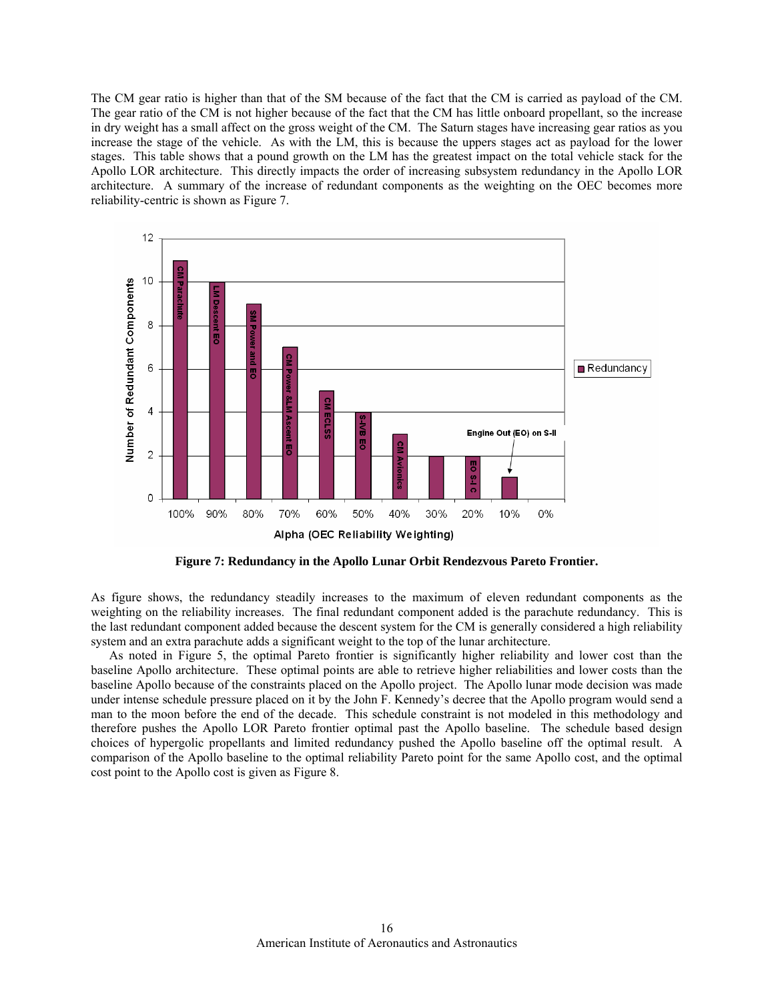The gear ratio of the CM is not higher because of the fact that the CM has little onboard propellant, so the increase in dry weight has a small affect on the gross weight of the CM. The Saturn stages have increasing gear ratios as you increase the stage of the vehicle. As with the LM, this is because the uppers stages act as payload for the lower stages. This table shows that a pound growth on the LM has the greatest impact on the total vehicle stack for the Apollo LOR architecture. This directly impacts the order of increasing subsystem redundancy in the Apollo LOR architecture. A summary of the increase of redundant components as the weighting on the OEC becomes more reliability-centric is shown as Figure 7.



**Figure 7: Redundancy in the Apollo Lunar Orbit Rendezvous Pareto Frontier.** 

As figure shows, the redundancy steadily increases to the maximum of eleven redundant components as the weighting on the reliability increases. The final redundant component added is the parachute redundancy. This is the last redundant component added because the descent system for the CM is generally considered a high reliability system and an extra parachute adds a significant weight to the top of the lunar architecture.

 As noted in Figure 5, the optimal Pareto frontier is significantly higher reliability and lower cost than the baseline Apollo architecture. These optimal points are able to retrieve higher reliabilities and lower costs than the baseline Apollo because of the constraints placed on the Apollo project. The Apollo lunar mode decision was made under intense schedule pressure placed on it by the John F. Kennedy's decree that the Apollo program would send a man to the moon before the end of the decade. This schedule constraint is not modeled in this methodology and therefore pushes the Apollo LOR Pareto frontier optimal past the Apollo baseline. The schedule based design choices of hypergolic propellants and limited redundancy pushed the Apollo baseline off the optimal result. A comparison of the Apollo baseline to the optimal reliability Pareto point for the same Apollo cost, and the optimal cost point to the Apollo cost is given as Figure 8.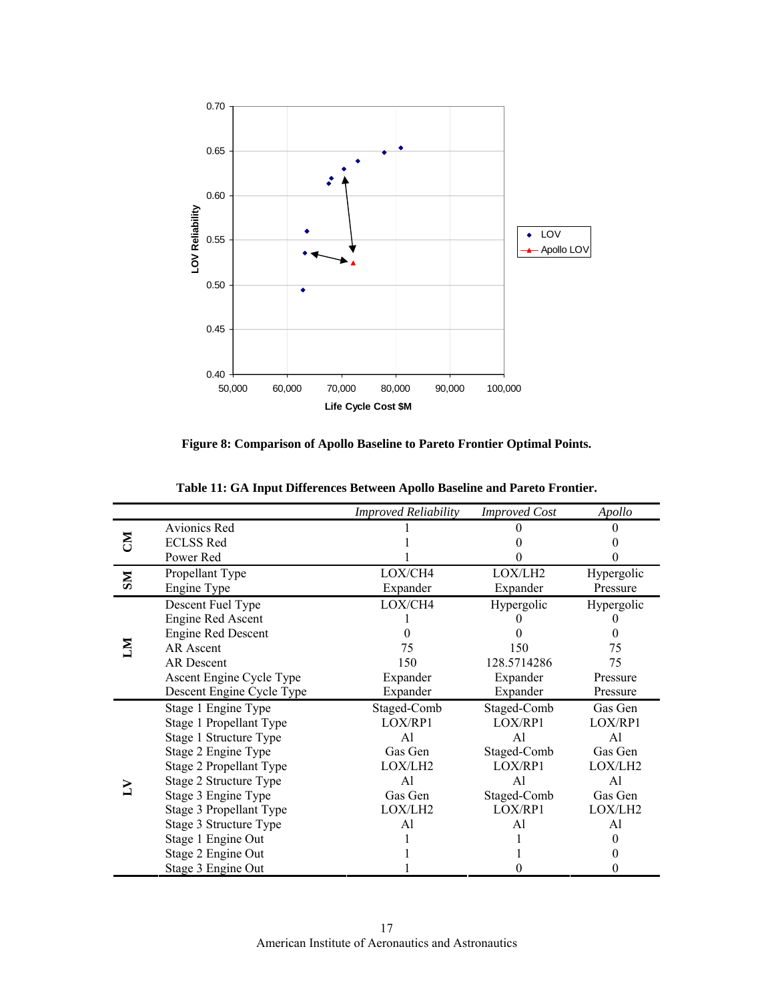

**Figure 8: Comparison of Apollo Baseline to Pareto Frontier Optimal Points.** 

|                | $0.40 +$                  |                                                                             |                      |                  |
|----------------|---------------------------|-----------------------------------------------------------------------------|----------------------|------------------|
|                | 50,000<br>60,000          | 70,000<br>80,000<br>90,000                                                  | 100,000              |                  |
|                |                           | Life Cycle Cost \$M                                                         |                      |                  |
|                |                           |                                                                             |                      |                  |
|                |                           | Figure 8: Comparison of Apollo Baseline to Pareto Frontier Optimal Points.  |                      |                  |
|                |                           |                                                                             |                      |                  |
|                |                           |                                                                             |                      |                  |
|                |                           | Table 11: GA Input Differences Between Apollo Baseline and Pareto Frontier. |                      |                  |
|                |                           | <b>Improved Reliability</b>                                                 | <b>Improved Cost</b> | Apollo           |
|                | Avionics Red              |                                                                             | $\theta$             | $\mathbf{0}$     |
| M <sub>o</sub> | <b>ECLSS Red</b>          | 1                                                                           | $\boldsymbol{0}$     | $\boldsymbol{0}$ |
|                | Power Red                 | 1                                                                           | $\theta$             | $\mathbf{0}$     |
|                | Propellant Type           | LOX/CH4                                                                     | LOX/LH2              | Hypergolic       |
| <b>NS</b>      | Engine Type               | Expander                                                                    | Expander             | Pressure         |
|                | Descent Fuel Type         | LOX/CH4                                                                     | Hypergolic           | Hypergolic       |
|                | Engine Red Ascent         | 1                                                                           | $\theta$             | $\mathbf{0}$     |
|                | <b>Engine Red Descent</b> | $\theta$                                                                    | $\boldsymbol{0}$     | $\boldsymbol{0}$ |
| Σ              | <b>AR</b> Ascent          | 75                                                                          | 150                  | 75               |
|                | <b>AR</b> Descent         | 150                                                                         | 128.5714286          | 75               |
|                | Ascent Engine Cycle Type  | Expander                                                                    | Expander             | Pressure         |
|                | Descent Engine Cycle Type | Expander                                                                    | Expander             | Pressure         |
|                | Stage 1 Engine Type       | Staged-Comb                                                                 | Staged-Comb          | Gas Gen          |
|                | Stage 1 Propellant Type   | LOX/RP1                                                                     | LOX/RP1              | LOX/RP1          |
|                | Stage 1 Structure Type    | Al                                                                          | AI                   | AI               |
|                | Stage 2 Engine Type       | Gas Gen                                                                     | Staged-Comb          | Gas Gen          |
|                | Stage 2 Propellant Type   | LOX/LH2                                                                     | LOX/RP1              | LOX/LH2          |
|                | Stage 2 Structure Type    | A <sub>1</sub>                                                              | AI                   | AI               |
|                | Stage 3 Engine Type       | Gas Gen                                                                     | Staged-Comb          | Gas Gen          |
|                | Stage 3 Propellant Type   | LOX/LH2                                                                     | LOX/RP1              | LOX/LH2          |
|                | Stage 3 Structure Type    | Al                                                                          | Al                   | Al               |
|                | Stage 1 Engine Out        | 1                                                                           | 1                    | $\boldsymbol{0}$ |
|                | Stage 2 Engine Out        | 1                                                                           | 1                    | $\mathbf{0}$     |
|                | Stage 3 Engine Out        | 1                                                                           | $\mathbf{0}$         | $\mathbf{0}$     |
|                |                           |                                                                             |                      |                  |
|                |                           |                                                                             |                      |                  |
|                |                           |                                                                             |                      |                  |
|                |                           | 17                                                                          |                      |                  |

**Table 11: GA Input Differences Between Apollo Baseline and Pareto Frontier.**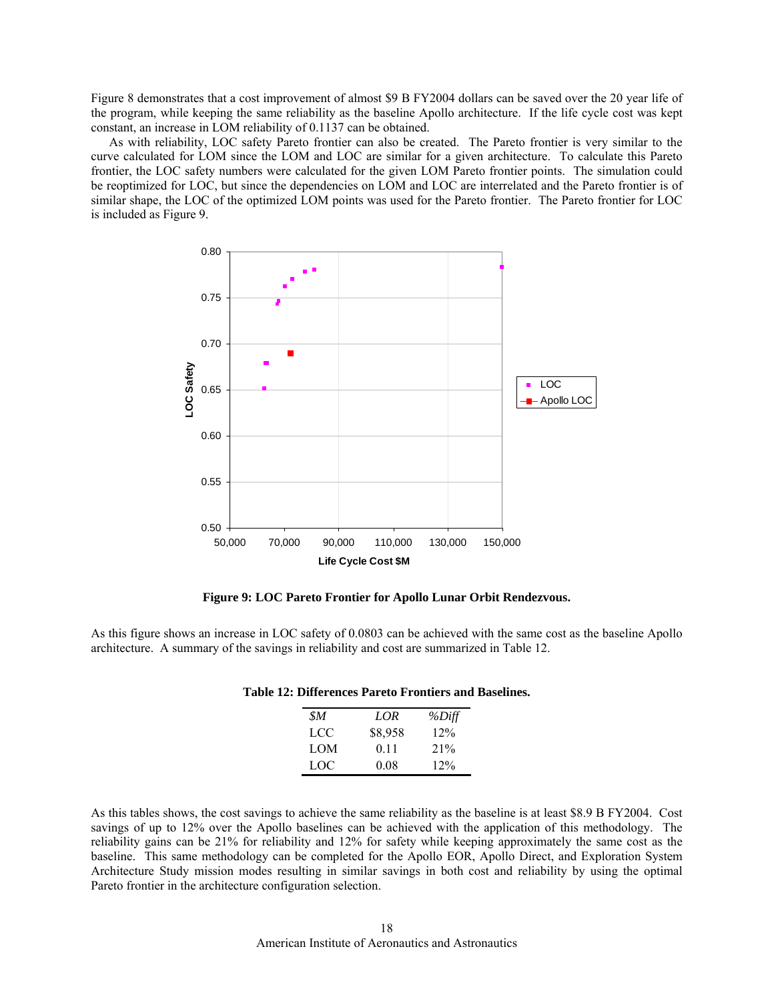the program, while keeping the same reliability as the baseline Apollo architecture. If the life cycle cost was kept constant, an increase in LOM reliability of 0.1137 can be obtained.

 As with reliability, LOC safety Pareto frontier can also be created. The Pareto frontier is very similar to the curve calculated for LOM since the LOM and LOC are similar for a given architecture. To calculate this Pareto frontier, the LOC safety numbers were calculated for the given LOM Pareto frontier points. The simulation could be reoptimized for LOC, but since the dependencies on LOM and LOC are interrelated and the Pareto frontier is of similar shape, the LOC of the optimized LOM points was used for the Pareto frontier. The Pareto frontier for LOC is included as Figure 9.



**Figure 9: LOC Pareto Frontier for Apollo Lunar Orbit Rendezvous.** 

As this figure shows an increase in LOC safety of 0.0803 can be achieved with the same cost as the baseline Apollo architecture. A summary of the savings in reliability and cost are summarized in Table 12.

| \$M        | LOR     | %Diff |
|------------|---------|-------|
| LCC        | \$8,958 | 12%   |
| <b>LOM</b> | 0.11    | 21%   |
| LOC.       | 0.08    | 12%   |

#### **Table 12: Differences Pareto Frontiers and Baselines.**

As this tables shows, the cost savings to achieve the same reliability as the baseline is at least \$8.9 B FY2004. Cost savings of up to 12% over the Apollo baselines can be achieved with the application of this methodology. The reliability gains can be 21% for reliability and 12% for safety while keeping approximately the same cost as the baseline. This same methodology can be completed for the Apollo EOR, Apollo Direct, and Exploration System Architecture Study mission modes resulting in similar savings in both cost and reliability by using the optimal Pareto frontier in the architecture configuration selection.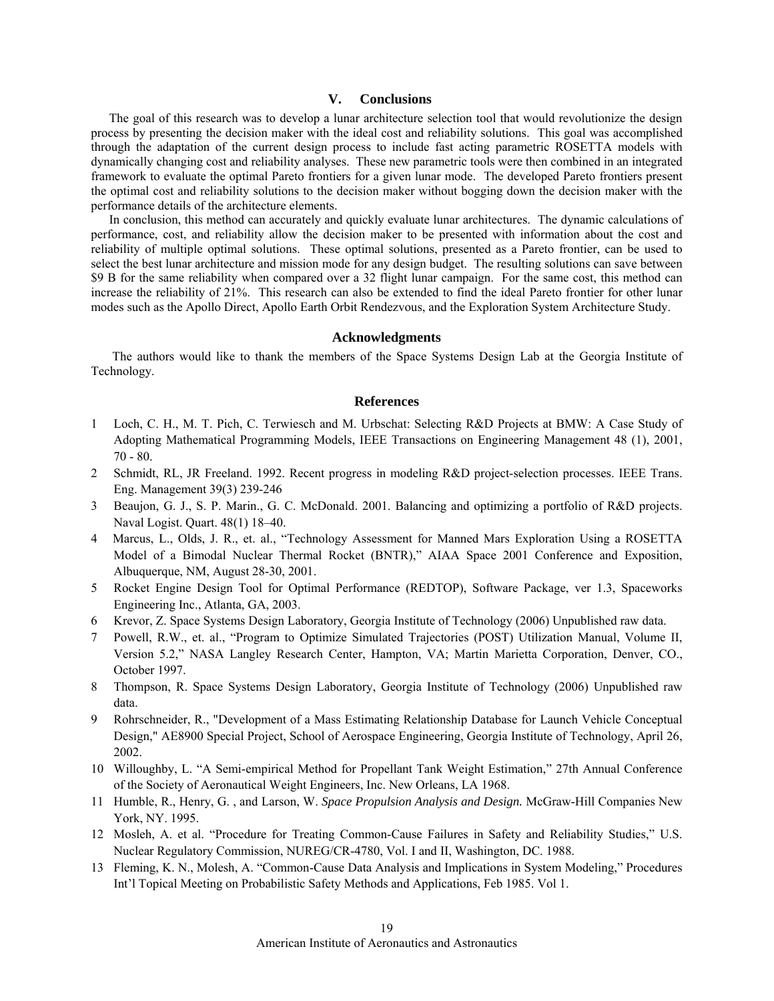#### V. **Conclusions**

**V. Conclusions**<br>
lunar architecture set the ideal cost and reprocess to include<br>
sees. These new para<br>
tiers for a given luna<br>
diers for a given luna<br>
diers for a given luna<br>
diers for a given luna<br>
diers is.<br>
is.<br>
is.<br> The goal of this research was to develop a lunar architecture selection tool that would revolutionize the design process by presenting the decision maker with the ideal cost and reliability solutions. This goal was accomplished through the adaptation of the current design process to include fast acting parametric ROSETTA models with dynamically changing cost and reliability analyses. These new parametric tools were then combined in an integrated framework to evaluate the optimal Pareto frontiers for a given lunar mode. The developed Pareto frontiers present the optimal cost and reliability solutions to the decision maker without bogging down the decision maker with the performance details of the architecture elements.

In conclusion, this method can accurately and quickly evaluate lunar architectures. The dynamic calculations of performance, cost, and reliability allow the decision maker to be presented with information about the cost and reliability of multiple optimal solutions. These optimal solutions, presented as a Pareto frontier, can be used to select the best lunar architecture and mission mode for any design budget. The resulting solutions can save between \$9 B for the same reliability when compared over a 32 flight lunar campaign. For the same cost, this method can increase the reliability of 21%. This research can also be extended to find the ideal Pareto frontier for other lunar modes such as the Apollo Direct, Apollo Earth Orbit Rendezvous, and the Exploration System Architecture Study.

#### **Acknowledgments**

 The authors would like to thank the members of the Space Systems Design Lab at the Georgia Institute of Technology.

#### **References**

- 1 Loch, C. H., M. T. Pich, C. Terwiesch and M. Urbschat: Selecting R&D Projects at BMW: A Case Study of Adopting Mathematical Programming Models, IEEE Transactions on Engineering Management 48 (1), 2001, 70 - 80.
- 2 Schmidt, RL, JR Freeland. 1992. Recent progress in modeling R&D project-selection processes. IEEE Trans. Eng. Management 39(3) 239-246
- 3 Beaujon, G. J., S. P. Marin., G. C. McDonald. 2001. Balancing and optimizing a portfolio of R&D projects. Naval Logist. Quart. 48(1) 18–40.
- 4 Marcus, L., Olds, J. R., et. al., "Technology Assessment for Manned Mars Exploration Using a ROSETTA Model of a Bimodal Nuclear Thermal Rocket (BNTR)," AIAA Space 2001 Conference and Exposition, Albuquerque, NM, August 28-30, 2001.
- 5 Rocket Engine Design Tool for Optimal Performance (REDTOP), Software Package, ver 1.3, Spaceworks Engineering Inc., Atlanta, GA, 2003.
- 6 Krevor, Z. Space Systems Design Laboratory, Georgia Institute of Technology (2006) Unpublished raw data.
- 7 Powell, R.W., et. al., "Program to Optimize Simulated Trajectories (POST) Utilization Manual, Volume II, Version 5.2," NASA Langley Research Center, Hampton, VA; Martin Marietta Corporation, Denver, CO., October 1997.
- 8 Thompson, R. Space Systems Design Laboratory, Georgia Institute of Technology (2006) Unpublished raw data.
- 9 Rohrschneider, R., "Development of a Mass Estimating Relationship Database for Launch Vehicle Conceptual Design," AE8900 Special Project, School of Aerospace Engineering, Georgia Institute of Technology, April 26, 2002.
- 10 Willoughby, L. "A Semi-empirical Method for Propellant Tank Weight Estimation," 27th Annual Conference of the Society of Aeronautical Weight Engineers, Inc. New Orleans, LA 1968.
- 11 Humble, R., Henry, G. , and Larson, W. *Space Propulsion Analysis and Design.* McGraw-Hill Companies New York, NY. 1995.
- 12 Mosleh, A. et al. "Procedure for Treating Common-Cause Failures in Safety and Reliability Studies," U.S. Nuclear Regulatory Commission, NUREG/CR-4780, Vol. I and II, Washington, DC. 1988.
- 13 Fleming, K. N., Molesh, A. "Common-Cause Data Analysis and Implications in System Modeling," Procedures Int'l Topical Meeting on Probabilistic Safety Methods and Applications, Feb 1985. Vol 1.